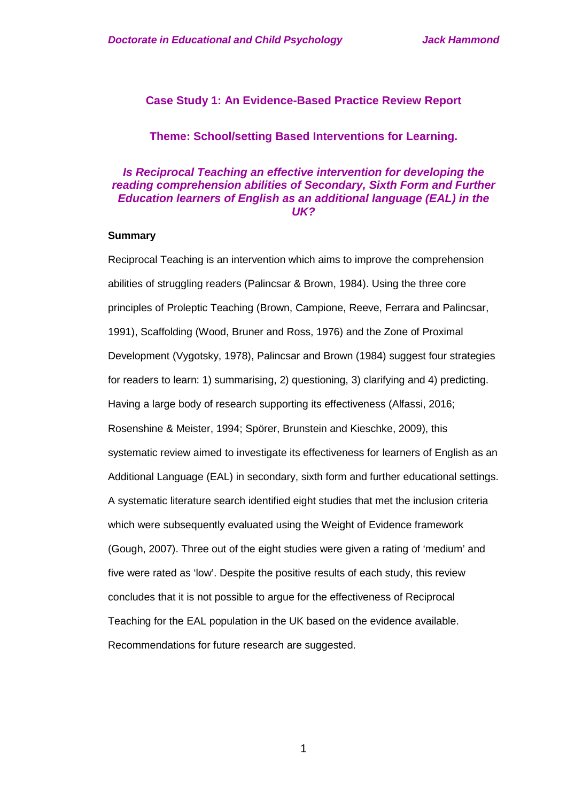## **Case Study 1: An Evidence-Based Practice Review Report**

## **Theme: School/setting Based Interventions for Learning.**

## *Is Reciprocal Teaching an effective intervention for developing the reading comprehension abilities of Secondary, Sixth Form and Further Education learners of English as an additional language (EAL) in the UK?*

## **Summary**

Reciprocal Teaching is an intervention which aims to improve the comprehension abilities of struggling readers (Palincsar & Brown, 1984). Using the three core principles of Proleptic Teaching (Brown, Campione, Reeve, Ferrara and Palincsar, 1991), Scaffolding (Wood, Bruner and Ross, 1976) and the Zone of Proximal Development (Vygotsky, 1978), Palincsar and Brown (1984) suggest four strategies for readers to learn: 1) summarising, 2) questioning, 3) clarifying and 4) predicting. Having a large body of research supporting its effectiveness (Alfassi, 2016; Rosenshine & Meister, 1994; Spörer, Brunstein and Kieschke, 2009), this systematic review aimed to investigate its effectiveness for learners of English as an Additional Language (EAL) in secondary, sixth form and further educational settings. A systematic literature search identified eight studies that met the inclusion criteria which were subsequently evaluated using the Weight of Evidence framework (Gough, 2007). Three out of the eight studies were given a rating of 'medium' and five were rated as 'low'. Despite the positive results of each study, this review concludes that it is not possible to argue for the effectiveness of Reciprocal Teaching for the EAL population in the UK based on the evidence available. Recommendations for future research are suggested.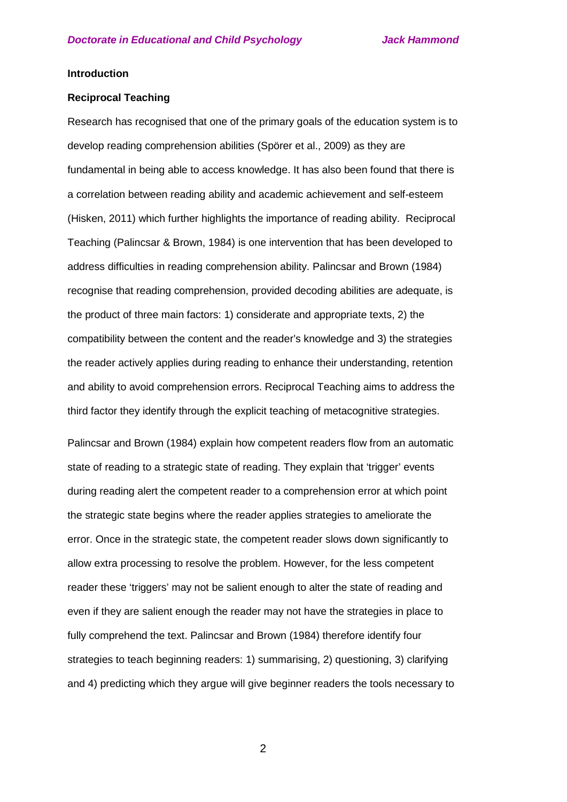#### **Introduction**

#### **Reciprocal Teaching**

Research has recognised that one of the primary goals of the education system is to develop reading comprehension abilities (Spörer et al., 2009) as they are fundamental in being able to access knowledge. It has also been found that there is a correlation between reading ability and academic achievement and self-esteem (Hisken, 2011) which further highlights the importance of reading ability. Reciprocal Teaching (Palincsar & Brown, 1984) is one intervention that has been developed to address difficulties in reading comprehension ability. Palincsar and Brown (1984) recognise that reading comprehension, provided decoding abilities are adequate, is the product of three main factors: 1) considerate and appropriate texts, 2) the compatibility between the content and the reader's knowledge and 3) the strategies the reader actively applies during reading to enhance their understanding, retention and ability to avoid comprehension errors. Reciprocal Teaching aims to address the third factor they identify through the explicit teaching of metacognitive strategies.

Palincsar and Brown (1984) explain how competent readers flow from an automatic state of reading to a strategic state of reading. They explain that 'trigger' events during reading alert the competent reader to a comprehension error at which point the strategic state begins where the reader applies strategies to ameliorate the error. Once in the strategic state, the competent reader slows down significantly to allow extra processing to resolve the problem. However, for the less competent reader these 'triggers' may not be salient enough to alter the state of reading and even if they are salient enough the reader may not have the strategies in place to fully comprehend the text. Palincsar and Brown (1984) therefore identify four strategies to teach beginning readers: 1) summarising, 2) questioning, 3) clarifying and 4) predicting which they argue will give beginner readers the tools necessary to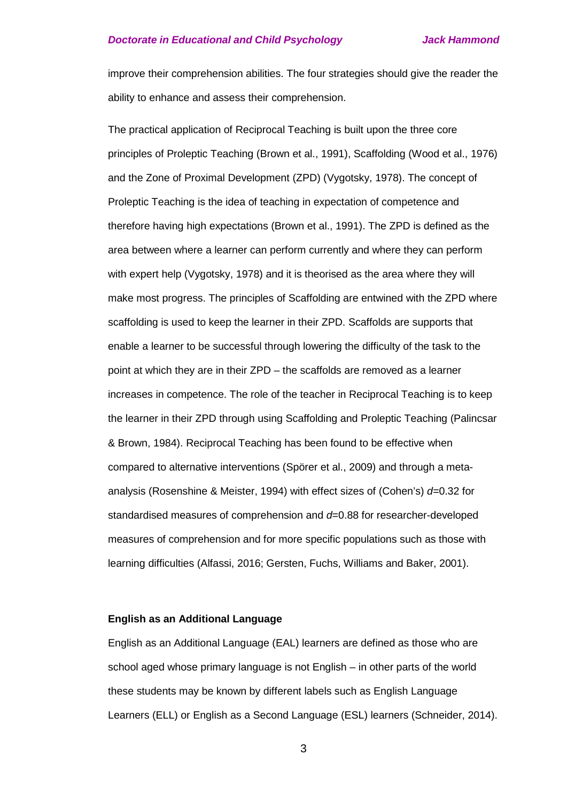improve their comprehension abilities. The four strategies should give the reader the ability to enhance and assess their comprehension.

The practical application of Reciprocal Teaching is built upon the three core principles of Proleptic Teaching (Brown et al., 1991), Scaffolding (Wood et al., 1976) and the Zone of Proximal Development (ZPD) (Vygotsky, 1978). The concept of Proleptic Teaching is the idea of teaching in expectation of competence and therefore having high expectations (Brown et al., 1991). The ZPD is defined as the area between where a learner can perform currently and where they can perform with expert help (Vygotsky, 1978) and it is theorised as the area where they will make most progress. The principles of Scaffolding are entwined with the ZPD where scaffolding is used to keep the learner in their ZPD. Scaffolds are supports that enable a learner to be successful through lowering the difficulty of the task to the point at which they are in their ZPD – the scaffolds are removed as a learner increases in competence. The role of the teacher in Reciprocal Teaching is to keep the learner in their ZPD through using Scaffolding and Proleptic Teaching (Palincsar & Brown, 1984). Reciprocal Teaching has been found to be effective when compared to alternative interventions (Spörer et al., 2009) and through a metaanalysis (Rosenshine & Meister, 1994) with effect sizes of (Cohen's) *d=*0.32 for standardised measures of comprehension and *d=*0.88 for researcher-developed measures of comprehension and for more specific populations such as those with learning difficulties (Alfassi, 2016; Gersten, Fuchs, Williams and Baker, 2001).

### **English as an Additional Language**

English as an Additional Language (EAL) learners are defined as those who are school aged whose primary language is not English – in other parts of the world these students may be known by different labels such as English Language Learners (ELL) or English as a Second Language (ESL) learners (Schneider, 2014).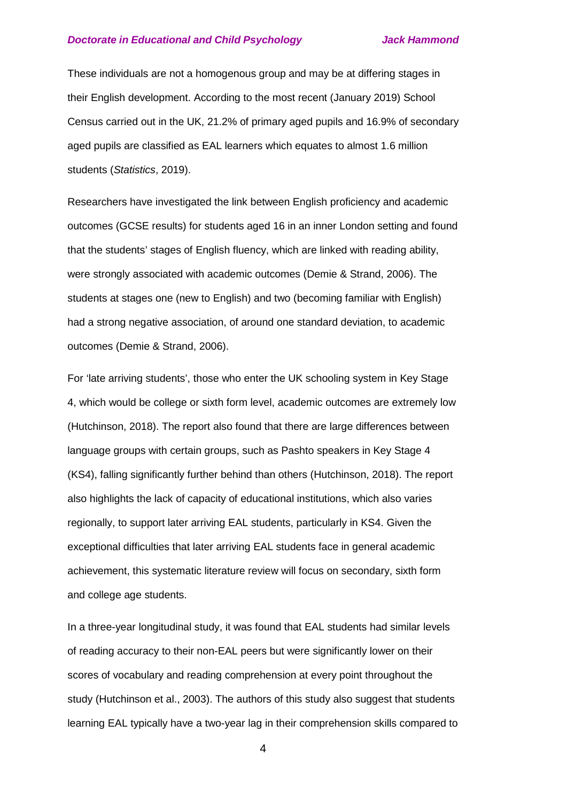These individuals are not a homogenous group and may be at differing stages in their English development. According to the most recent (January 2019) School Census carried out in the UK, 21.2% of primary aged pupils and 16.9% of secondary aged pupils are classified as EAL learners which equates to almost 1.6 million students (*Statistics*, 2019).

Researchers have investigated the link between English proficiency and academic outcomes (GCSE results) for students aged 16 in an inner London setting and found that the students' stages of English fluency, which are linked with reading ability, were strongly associated with academic outcomes (Demie & Strand, 2006). The students at stages one (new to English) and two (becoming familiar with English) had a strong negative association, of around one standard deviation, to academic outcomes (Demie & Strand, 2006).

For 'late arriving students', those who enter the UK schooling system in Key Stage 4, which would be college or sixth form level, academic outcomes are extremely low (Hutchinson, 2018). The report also found that there are large differences between language groups with certain groups, such as Pashto speakers in Key Stage 4 (KS4), falling significantly further behind than others (Hutchinson, 2018). The report also highlights the lack of capacity of educational institutions, which also varies regionally, to support later arriving EAL students, particularly in KS4. Given the exceptional difficulties that later arriving EAL students face in general academic achievement, this systematic literature review will focus on secondary, sixth form and college age students.

In a three-year longitudinal study, it was found that EAL students had similar levels of reading accuracy to their non-EAL peers but were significantly lower on their scores of vocabulary and reading comprehension at every point throughout the study (Hutchinson et al., 2003). The authors of this study also suggest that students learning EAL typically have a two-year lag in their comprehension skills compared to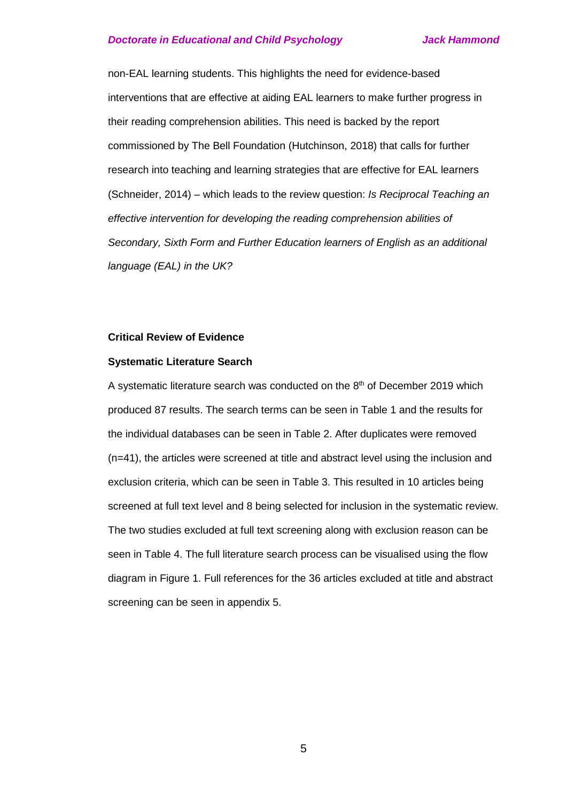non-EAL learning students. This highlights the need for evidence-based interventions that are effective at aiding EAL learners to make further progress in their reading comprehension abilities. This need is backed by the report commissioned by The Bell Foundation (Hutchinson, 2018) that calls for further research into teaching and learning strategies that are effective for EAL learners (Schneider, 2014) – which leads to the review question: *Is Reciprocal Teaching an effective intervention for developing the reading comprehension abilities of Secondary, Sixth Form and Further Education learners of English as an additional language (EAL) in the UK?*

#### **Critical Review of Evidence**

#### **Systematic Literature Search**

A systematic literature search was conducted on the  $8<sup>th</sup>$  of December 2019 which produced 87 results. The search terms can be seen in Table 1 and the results for the individual databases can be seen in Table 2. After duplicates were removed (n=41), the articles were screened at title and abstract level using the inclusion and exclusion criteria, which can be seen in Table 3. This resulted in 10 articles being screened at full text level and 8 being selected for inclusion in the systematic review. The two studies excluded at full text screening along with exclusion reason can be seen in Table 4. The full literature search process can be visualised using the flow diagram in Figure 1. Full references for the 36 articles excluded at title and abstract screening can be seen in appendix 5.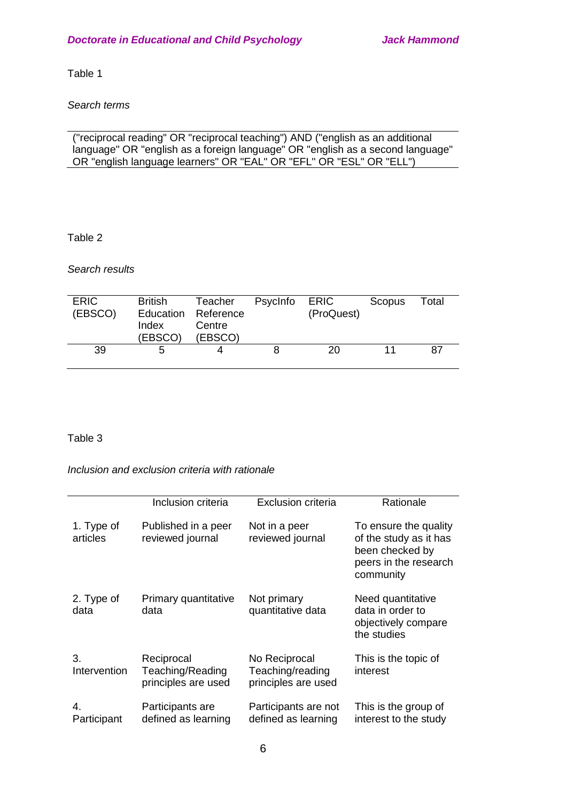Table 1

*Search terms*

("reciprocal reading" OR "reciprocal teaching") AND ("english as an additional language" OR "english as a foreign language" OR "english as a second language" OR "english language learners" OR "EAL" OR "EFL" OR "ESL" OR "ELL")

Table 2

*Search results*

| <b>ERIC</b><br>(EBSCO) | <b>British</b><br>Index<br>(EBSCO) | Teacher<br>Education Reference<br>Centre<br>(EBSCO) | Psycinfo | ERIC<br>(ProQuest) | Scopus | Total |
|------------------------|------------------------------------|-----------------------------------------------------|----------|--------------------|--------|-------|
| 39                     | b                                  |                                                     |          | 20                 |        | 87    |

Table 3

*Inclusion and exclusion criteria with rationale*

|                        | Inclusion criteria                                    | Exclusion criteria                                       | Rationale                                                                                                |
|------------------------|-------------------------------------------------------|----------------------------------------------------------|----------------------------------------------------------------------------------------------------------|
| 1. Type of<br>articles | Published in a peer<br>reviewed journal               | Not in a peer<br>reviewed journal                        | To ensure the quality<br>of the study as it has<br>been checked by<br>peers in the research<br>community |
| 2. Type of<br>data     | Primary quantitative<br>data                          | Not primary<br>quantitative data                         | Need quantitative<br>data in order to<br>objectively compare<br>the studies                              |
| 3.<br>Intervention     | Reciprocal<br>Teaching/Reading<br>principles are used | No Reciprocal<br>Teaching/reading<br>principles are used | This is the topic of<br>interest                                                                         |
| 4.<br>Participant      | Participants are<br>defined as learning               | Participants are not<br>defined as learning              | This is the group of<br>interest to the study                                                            |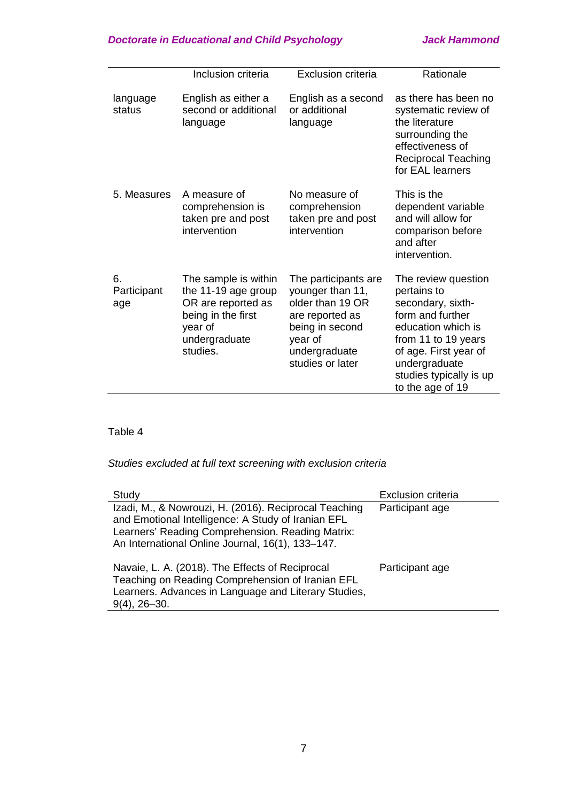|                          | Inclusion criteria                                                                                                              | <b>Exclusion criteria</b>                                                                                                                          | Rationale                                                                                                                                                                                                         |
|--------------------------|---------------------------------------------------------------------------------------------------------------------------------|----------------------------------------------------------------------------------------------------------------------------------------------------|-------------------------------------------------------------------------------------------------------------------------------------------------------------------------------------------------------------------|
|                          |                                                                                                                                 |                                                                                                                                                    |                                                                                                                                                                                                                   |
| language<br>status       | English as either a<br>second or additional<br>language                                                                         | English as a second<br>or additional<br>language                                                                                                   | as there has been no<br>systematic review of<br>the literature<br>surrounding the<br>effectiveness of<br><b>Reciprocal Teaching</b><br>for EAL learners                                                           |
| 5. Measures              | A measure of<br>comprehension is<br>taken pre and post<br>intervention                                                          | No measure of<br>comprehension<br>taken pre and post<br>intervention                                                                               | This is the<br>dependent variable<br>and will allow for<br>comparison before<br>and after<br>intervention.                                                                                                        |
| 6.<br>Participant<br>age | The sample is within<br>the 11-19 age group<br>OR are reported as<br>being in the first<br>year of<br>undergraduate<br>studies. | The participants are<br>younger than 11,<br>older than 19 OR<br>are reported as<br>being in second<br>year of<br>undergraduate<br>studies or later | The review question<br>pertains to<br>secondary, sixth-<br>form and further<br>education which is<br>from 11 to 19 years<br>of age. First year of<br>undergraduate<br>studies typically is up<br>to the age of 19 |

# Table 4

# *Studies excluded at full text screening with exclusion criteria*

| Study                                                                                                                                                                                                               | <b>Exclusion criteria</b> |
|---------------------------------------------------------------------------------------------------------------------------------------------------------------------------------------------------------------------|---------------------------|
| Izadi, M., & Nowrouzi, H. (2016). Reciprocal Teaching<br>and Emotional Intelligence: A Study of Iranian EFL<br>Learners' Reading Comprehension. Reading Matrix:<br>An International Online Journal, 16(1), 133-147. | Participant age           |
| Navaie, L. A. (2018). The Effects of Reciprocal<br>Teaching on Reading Comprehension of Iranian EFL<br>Learners. Advances in Language and Literary Studies,<br>$9(4)$ , 26-30.                                      | Participant age           |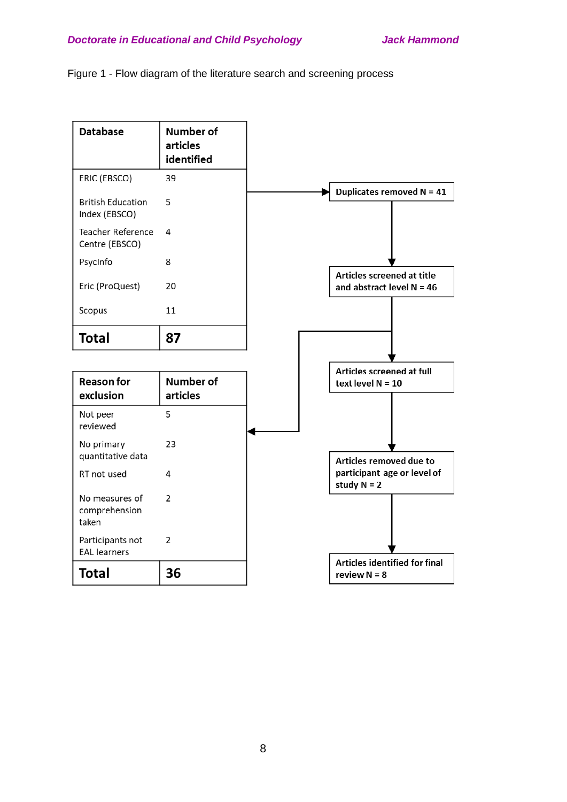

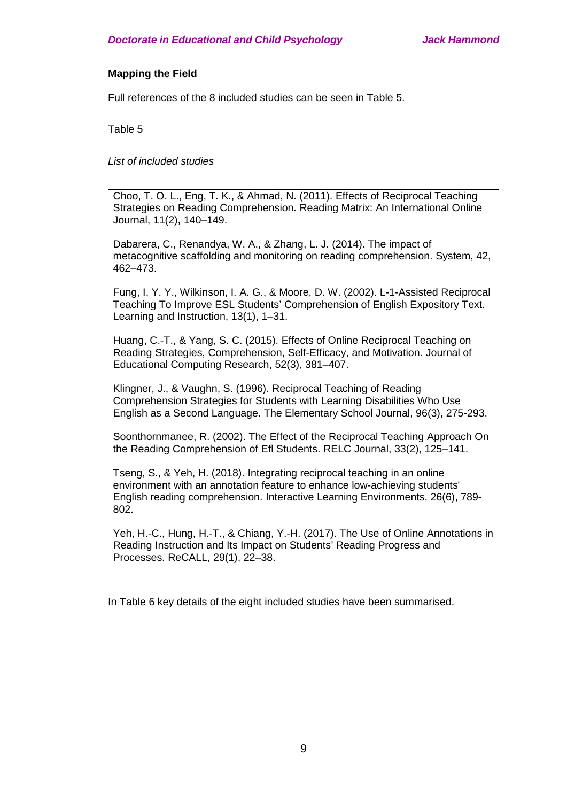## **Mapping the Field**

Full references of the 8 included studies can be seen in Table 5.

Table 5

*List of included studies*

Choo, T. O. L., Eng, T. K., & Ahmad, N. (2011). Effects of Reciprocal Teaching Strategies on Reading Comprehension. Reading Matrix: An International Online Journal, 11(2), 140–149.

Dabarera, C., Renandya, W. A., & Zhang, L. J. (2014). The impact of metacognitive scaffolding and monitoring on reading comprehension. System, 42, 462–473.

Fung, I. Y. Y., Wilkinson, I. A. G., & Moore, D. W. (2002). L-1-Assisted Reciprocal Teaching To Improve ESL Students' Comprehension of English Expository Text. Learning and Instruction, 13(1), 1–31.

Huang, C.-T., & Yang, S. C. (2015). Effects of Online Reciprocal Teaching on Reading Strategies, Comprehension, Self-Efficacy, and Motivation. Journal of Educational Computing Research, 52(3), 381–407.

Klingner, J., & Vaughn, S. (1996). Reciprocal Teaching of Reading Comprehension Strategies for Students with Learning Disabilities Who Use English as a Second Language. The Elementary School Journal, 96(3), 275-293.

Soonthornmanee, R. (2002). The Effect of the Reciprocal Teaching Approach On the Reading Comprehension of Efl Students. RELC Journal, 33(2), 125–141.

Tseng, S., & Yeh, H. (2018). Integrating reciprocal teaching in an online environment with an annotation feature to enhance low-achieving students' English reading comprehension. Interactive Learning Environments, 26(6), 789- 802.

Yeh, H.-C., Hung, H.-T., & Chiang, Y.-H. (2017). The Use of Online Annotations in Reading Instruction and Its Impact on Students' Reading Progress and Processes. ReCALL, 29(1), 22–38.

In Table 6 key details of the eight included studies have been summarised.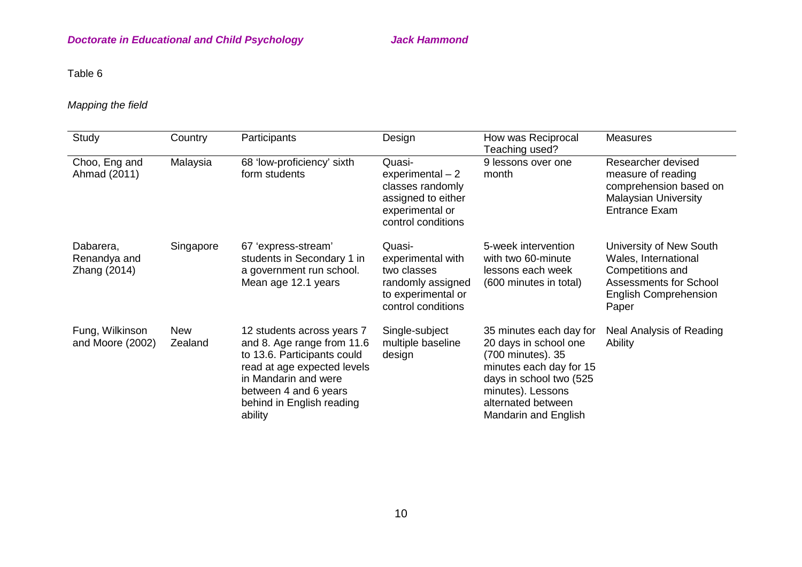# Table 6

# *Mapping the field*

| Study                                     | Country               | Participants                                                                                                                                                                                                    | Design                                                                                                        | How was Reciprocal<br>Teaching used?                                                                                                                                                           | <b>Measures</b>                                                                                                                               |
|-------------------------------------------|-----------------------|-----------------------------------------------------------------------------------------------------------------------------------------------------------------------------------------------------------------|---------------------------------------------------------------------------------------------------------------|------------------------------------------------------------------------------------------------------------------------------------------------------------------------------------------------|-----------------------------------------------------------------------------------------------------------------------------------------------|
| Choo, Eng and<br>Ahmad (2011)             | Malaysia              | 68 'low-proficiency' sixth<br>form students                                                                                                                                                                     | Quasi-<br>$experimental-2$<br>classes randomly<br>assigned to either<br>experimental or<br>control conditions | 9 lessons over one<br>month                                                                                                                                                                    | Researcher devised<br>measure of reading<br>comprehension based on<br><b>Malaysian University</b><br><b>Entrance Exam</b>                     |
| Dabarera,<br>Renandya and<br>Zhang (2014) | Singapore             | 67 'express-stream'<br>students in Secondary 1 in<br>a government run school.<br>Mean age 12.1 years                                                                                                            | Quasi-<br>experimental with<br>two classes<br>randomly assigned<br>to experimental or<br>control conditions   | 5-week intervention<br>with two 60-minute<br>lessons each week<br>(600 minutes in total)                                                                                                       | University of New South<br>Wales, International<br>Competitions and<br><b>Assessments for School</b><br><b>English Comprehension</b><br>Paper |
| Fung, Wilkinson<br>and Moore (2002)       | <b>New</b><br>Zealand | 12 students across years 7<br>and 8. Age range from 11.6<br>to 13.6. Participants could<br>read at age expected levels<br>in Mandarin and were<br>between 4 and 6 years<br>behind in English reading<br>ability | Single-subject<br>multiple baseline<br>design                                                                 | 35 minutes each day for<br>20 days in school one<br>(700 minutes). 35<br>minutes each day for 15<br>days in school two (525<br>minutes). Lessons<br>alternated between<br>Mandarin and English | Neal Analysis of Reading<br>Ability                                                                                                           |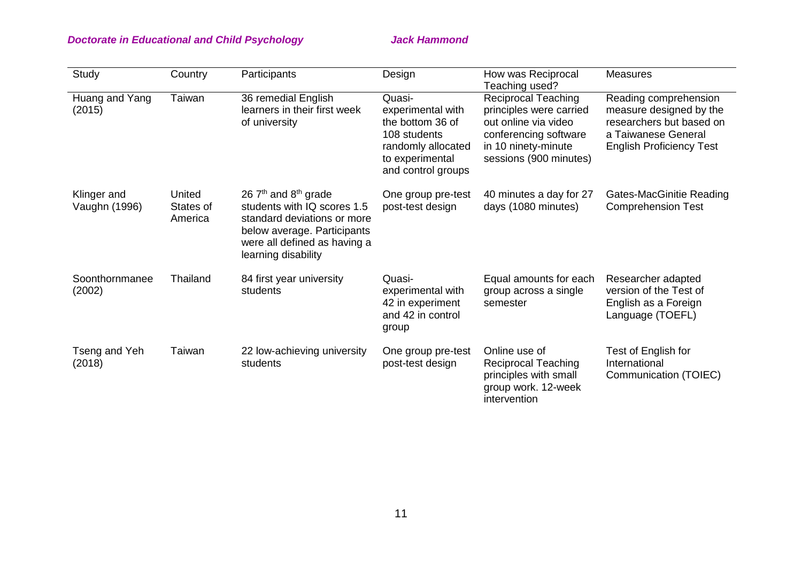# **Doctorate in Educational and Child Psychology State State Hammond Jack Hammond**

| Study                        | Country                        | Participants                                                                                                                                                                 | Design                                                                                                                         | How was Reciprocal<br>Teaching used?                                                                                                                    | <b>Measures</b>                                                                                                                        |
|------------------------------|--------------------------------|------------------------------------------------------------------------------------------------------------------------------------------------------------------------------|--------------------------------------------------------------------------------------------------------------------------------|---------------------------------------------------------------------------------------------------------------------------------------------------------|----------------------------------------------------------------------------------------------------------------------------------------|
| Huang and Yang<br>(2015)     | Taiwan                         | 36 remedial English<br>learners in their first week<br>of university                                                                                                         | Quasi-<br>experimental with<br>the bottom 36 of<br>108 students<br>randomly allocated<br>to experimental<br>and control groups | <b>Reciprocal Teaching</b><br>principles were carried<br>out online via video<br>conferencing software<br>in 10 ninety-minute<br>sessions (900 minutes) | Reading comprehension<br>measure designed by the<br>researchers but based on<br>a Taiwanese General<br><b>English Proficiency Test</b> |
| Klinger and<br>Vaughn (1996) | United<br>States of<br>America | 26 $7th$ and $8th$ grade<br>students with IQ scores 1.5<br>standard deviations or more<br>below average. Participants<br>were all defined as having a<br>learning disability | One group pre-test<br>post-test design                                                                                         | 40 minutes a day for 27<br>days (1080 minutes)                                                                                                          | Gates-MacGinitie Reading<br><b>Comprehension Test</b>                                                                                  |
| Soonthornmanee<br>(2002)     | Thailand                       | 84 first year university<br>students                                                                                                                                         | Quasi-<br>experimental with<br>42 in experiment<br>and 42 in control<br>group                                                  | Equal amounts for each<br>group across a single<br>semester                                                                                             | Researcher adapted<br>version of the Test of<br>English as a Foreign<br>Language (TOEFL)                                               |
| Tseng and Yeh<br>(2018)      | Taiwan                         | 22 low-achieving university<br>students                                                                                                                                      | One group pre-test<br>post-test design                                                                                         | Online use of<br><b>Reciprocal Teaching</b><br>principles with small<br>group work. 12-week<br>intervention                                             | Test of English for<br>International<br>Communication (TOIEC)                                                                          |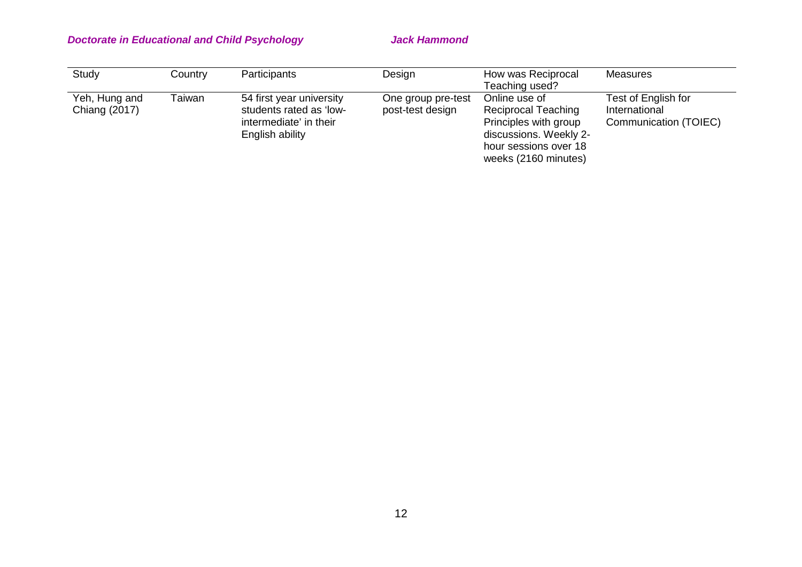| Study         | Country | Participants             | Design             | How was Reciprocal     | Measures              |
|---------------|---------|--------------------------|--------------------|------------------------|-----------------------|
|               |         |                          |                    | Teaching used?         |                       |
| Yeh, Hung and | Taiwan  | 54 first year university | One group pre-test | Online use of          | Test of English for   |
| Chiang (2017) |         | students rated as 'low-  | post-test design   | Reciprocal Teaching    | International         |
|               |         | intermediate' in their   |                    | Principles with group  | Communication (TOIEC) |
|               |         | English ability          |                    | discussions. Weekly 2- |                       |
|               |         |                          |                    | hour sessions over 18  |                       |
|               |         |                          |                    | weeks (2160 minutes)   |                       |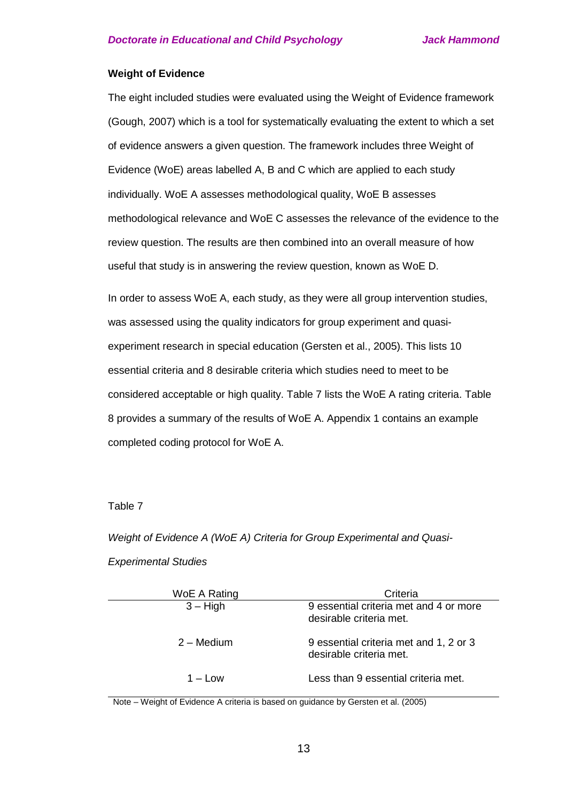## **Weight of Evidence**

The eight included studies were evaluated using the Weight of Evidence framework (Gough, 2007) which is a tool for systematically evaluating the extent to which a set of evidence answers a given question. The framework includes three Weight of Evidence (WoE) areas labelled A, B and C which are applied to each study individually. WoE A assesses methodological quality, WoE B assesses methodological relevance and WoE C assesses the relevance of the evidence to the review question. The results are then combined into an overall measure of how useful that study is in answering the review question, known as WoE D.

In order to assess WoE A, each study, as they were all group intervention studies, was assessed using the quality indicators for group experiment and quasiexperiment research in special education (Gersten et al., 2005). This lists 10 essential criteria and 8 desirable criteria which studies need to meet to be considered acceptable or high quality. Table 7 lists the WoE A rating criteria. Table 8 provides a summary of the results of WoE A. Appendix 1 contains an example completed coding protocol for WoE A.

## Table 7

*Weight of Evidence A (WoE A) Criteria for Group Experimental and Quasi-*

## *Experimental Studies*

| WoE A Rating       | Criteria                                                          |
|--------------------|-------------------------------------------------------------------|
| $3 - High$         | 9 essential criteria met and 4 or more<br>desirable criteria met. |
| 2 – Medium         | 9 essential criteria met and 1, 2 or 3<br>desirable criteria met. |
| $1 - 1$ $\alpha w$ | Less than 9 essential criteria met.                               |

Note – Weight of Evidence A criteria is based on guidance by Gersten et al. (2005)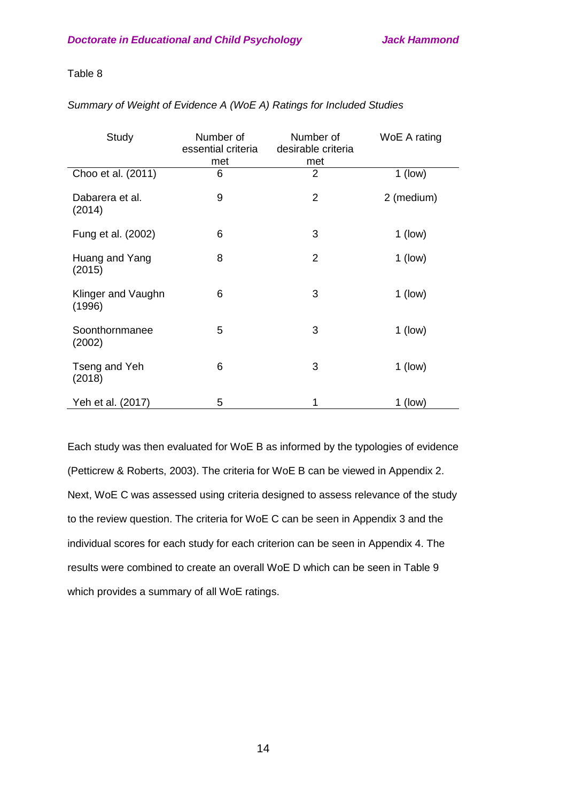## Table 8

| Study                        | Number of<br>essential criteria<br>met | Number of<br>desirable criteria<br>met | WoE A rating |
|------------------------------|----------------------------------------|----------------------------------------|--------------|
| Choo et al. (2011)           | 6                                      | 2                                      | $1$ (low)    |
| Dabarera et al.<br>(2014)    | 9                                      | $\overline{2}$                         | 2 (medium)   |
| Fung et al. (2002)           | 6                                      | 3                                      | $1$ (low)    |
| Huang and Yang<br>(2015)     | 8                                      | $\overline{2}$                         | $1$ (low)    |
| Klinger and Vaughn<br>(1996) | 6                                      | 3                                      | $1$ (low)    |
| Soonthornmanee<br>(2002)     | 5                                      | 3                                      | $1$ (low)    |
| Tseng and Yeh<br>(2018)      | 6                                      | 3                                      | $1$ (low)    |
| Yeh et al. (2017)            | 5                                      | 1                                      | $1$ (low)    |

Each study was then evaluated for WoE B as informed by the typologies of evidence (Petticrew & Roberts, 2003). The criteria for WoE B can be viewed in Appendix 2. Next, WoE C was assessed using criteria designed to assess relevance of the study to the review question. The criteria for WoE C can be seen in Appendix 3 and the individual scores for each study for each criterion can be seen in Appendix 4. The results were combined to create an overall WoE D which can be seen in Table 9 which provides a summary of all WoE ratings.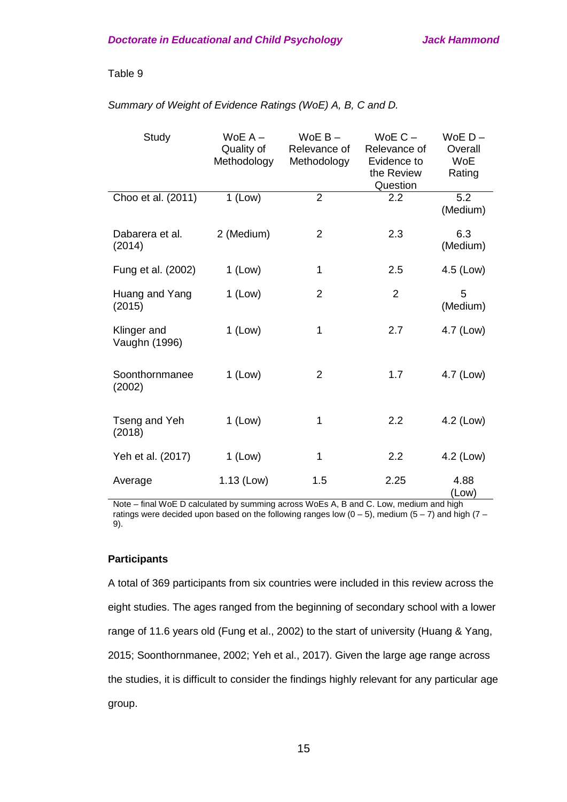## Table 9

## *Summary of Weight of Evidence Ratings (WoE) A, B, C and D.*

| Study                        | $WoE A -$<br>Quality of<br>Methodology | $WoE B -$<br>Relevance of<br>Methodology | WoE $C -$<br>Relevance of<br>Evidence to<br>the Review<br>Question | $WoE D -$<br>Overall<br><b>WoE</b><br>Rating |
|------------------------------|----------------------------------------|------------------------------------------|--------------------------------------------------------------------|----------------------------------------------|
| Choo et al. (2011)           | $1$ (Low)                              | $\overline{2}$                           | 2.2                                                                | 5.2<br>(Medium)                              |
| Dabarera et al.<br>(2014)    | 2 (Medium)                             | $\overline{2}$                           | 2.3                                                                | 6.3<br>(Medium)                              |
| Fung et al. (2002)           | $1$ (Low)                              | 1                                        | 2.5                                                                | 4.5 (Low)                                    |
| Huang and Yang<br>(2015)     | $1$ (Low)                              | $\overline{2}$                           | $\overline{2}$                                                     | 5<br>(Medium)                                |
| Klinger and<br>Vaughn (1996) | $1$ (Low)                              | 1                                        | 2.7                                                                | 4.7 (Low)                                    |
| Soonthornmanee<br>(2002)     | $1$ (Low)                              | 2                                        | 1.7                                                                | 4.7 (Low)                                    |
| Tseng and Yeh<br>(2018)      | $1$ (Low)                              | 1                                        | 2.2                                                                | 4.2 (Low)                                    |
| Yeh et al. (2017)            | $1$ (Low)                              | 1                                        | 2.2                                                                | 4.2 (Low)                                    |
| Average                      | $1.13$ (Low)                           | 1.5                                      | 2.25                                                               | 4.88<br>(Low)                                |

Note – final WoE D calculated by summing across WoEs A, B and C. Low, medium and high ratings were decided upon based on the following ranges low ( $0 - 5$ ), medium ( $5 - 7$ ) and high ( $7 -$ 9).

## **Participants**

A total of 369 participants from six countries were included in this review across the eight studies. The ages ranged from the beginning of secondary school with a lower range of 11.6 years old (Fung et al., 2002) to the start of university (Huang & Yang, 2015; Soonthornmanee, 2002; Yeh et al., 2017). Given the large age range across the studies, it is difficult to consider the findings highly relevant for any particular age group.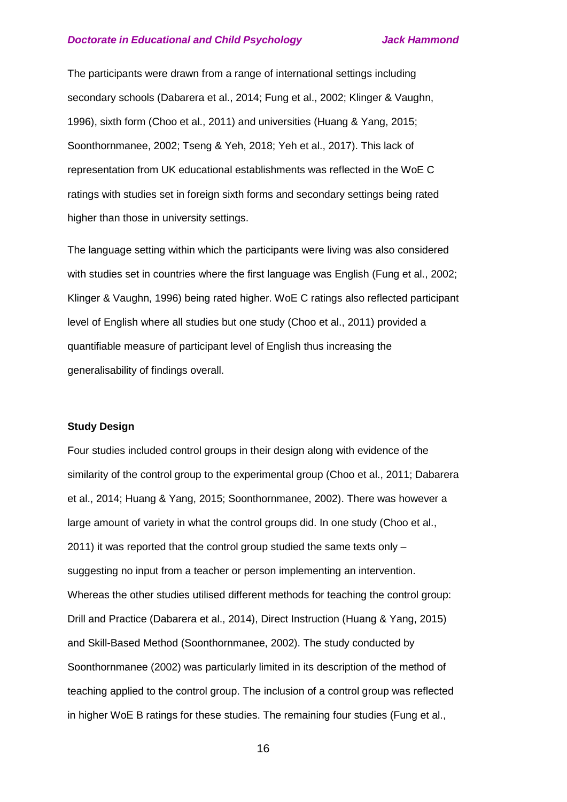The participants were drawn from a range of international settings including secondary schools (Dabarera et al., 2014; Fung et al., 2002; Klinger & Vaughn, 1996), sixth form (Choo et al., 2011) and universities (Huang & Yang, 2015; Soonthornmanee, 2002; Tseng & Yeh, 2018; Yeh et al., 2017). This lack of representation from UK educational establishments was reflected in the WoE C ratings with studies set in foreign sixth forms and secondary settings being rated higher than those in university settings.

The language setting within which the participants were living was also considered with studies set in countries where the first language was English (Fung et al., 2002; Klinger & Vaughn, 1996) being rated higher. WoE C ratings also reflected participant level of English where all studies but one study (Choo et al., 2011) provided a quantifiable measure of participant level of English thus increasing the generalisability of findings overall.

## **Study Design**

Four studies included control groups in their design along with evidence of the similarity of the control group to the experimental group (Choo et al., 2011; Dabarera et al., 2014; Huang & Yang, 2015; Soonthornmanee, 2002). There was however a large amount of variety in what the control groups did. In one study (Choo et al., 2011) it was reported that the control group studied the same texts only – suggesting no input from a teacher or person implementing an intervention. Whereas the other studies utilised different methods for teaching the control group: Drill and Practice (Dabarera et al., 2014), Direct Instruction (Huang & Yang, 2015) and Skill-Based Method (Soonthornmanee, 2002). The study conducted by Soonthornmanee (2002) was particularly limited in its description of the method of teaching applied to the control group. The inclusion of a control group was reflected in higher WoE B ratings for these studies. The remaining four studies (Fung et al.,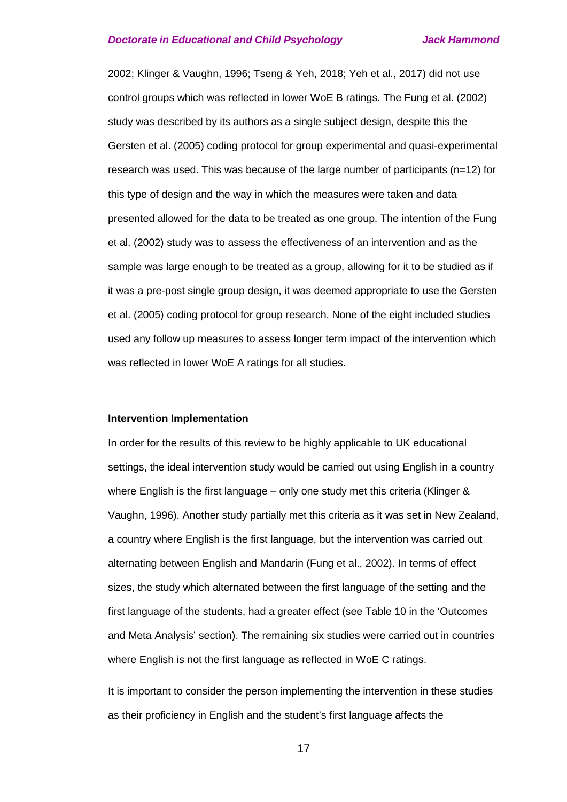2002; Klinger & Vaughn, 1996; Tseng & Yeh, 2018; Yeh et al., 2017) did not use control groups which was reflected in lower WoE B ratings. The Fung et al. (2002) study was described by its authors as a single subject design, despite this the Gersten et al. (2005) coding protocol for group experimental and quasi-experimental research was used. This was because of the large number of participants (n=12) for this type of design and the way in which the measures were taken and data presented allowed for the data to be treated as one group. The intention of the Fung et al. (2002) study was to assess the effectiveness of an intervention and as the sample was large enough to be treated as a group, allowing for it to be studied as if it was a pre-post single group design, it was deemed appropriate to use the Gersten et al. (2005) coding protocol for group research. None of the eight included studies used any follow up measures to assess longer term impact of the intervention which was reflected in lower WoE A ratings for all studies.

### **Intervention Implementation**

In order for the results of this review to be highly applicable to UK educational settings, the ideal intervention study would be carried out using English in a country where English is the first language – only one study met this criteria (Klinger & Vaughn, 1996). Another study partially met this criteria as it was set in New Zealand, a country where English is the first language, but the intervention was carried out alternating between English and Mandarin (Fung et al., 2002). In terms of effect sizes, the study which alternated between the first language of the setting and the first language of the students, had a greater effect (see Table 10 in the 'Outcomes and Meta Analysis' section). The remaining six studies were carried out in countries where English is not the first language as reflected in WoE C ratings.

It is important to consider the person implementing the intervention in these studies as their proficiency in English and the student's first language affects the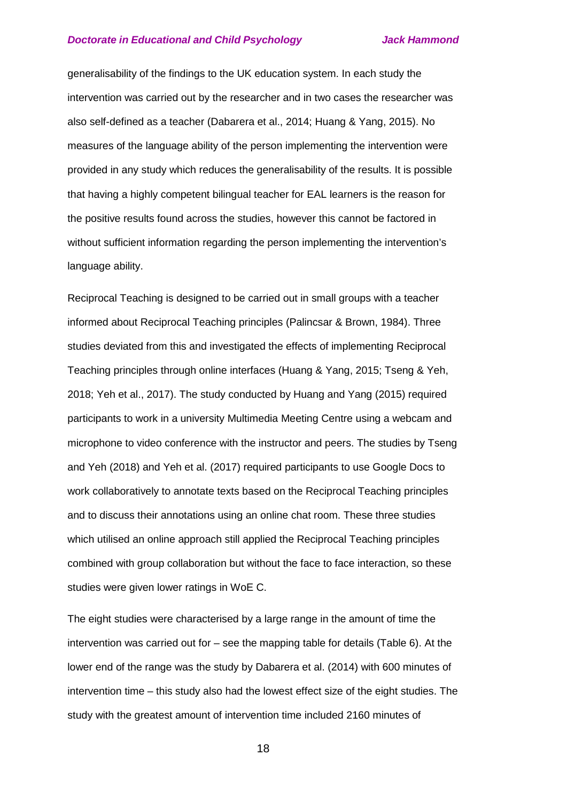generalisability of the findings to the UK education system. In each study the intervention was carried out by the researcher and in two cases the researcher was also self-defined as a teacher (Dabarera et al., 2014; Huang & Yang, 2015). No measures of the language ability of the person implementing the intervention were provided in any study which reduces the generalisability of the results. It is possible that having a highly competent bilingual teacher for EAL learners is the reason for the positive results found across the studies, however this cannot be factored in without sufficient information regarding the person implementing the intervention's language ability.

Reciprocal Teaching is designed to be carried out in small groups with a teacher informed about Reciprocal Teaching principles (Palincsar & Brown, 1984). Three studies deviated from this and investigated the effects of implementing Reciprocal Teaching principles through online interfaces (Huang & Yang, 2015; Tseng & Yeh, 2018; Yeh et al., 2017). The study conducted by Huang and Yang (2015) required participants to work in a university Multimedia Meeting Centre using a webcam and microphone to video conference with the instructor and peers. The studies by Tseng and Yeh (2018) and Yeh et al. (2017) required participants to use Google Docs to work collaboratively to annotate texts based on the Reciprocal Teaching principles and to discuss their annotations using an online chat room. These three studies which utilised an online approach still applied the Reciprocal Teaching principles combined with group collaboration but without the face to face interaction, so these studies were given lower ratings in WoE C.

The eight studies were characterised by a large range in the amount of time the intervention was carried out for – see the mapping table for details (Table 6). At the lower end of the range was the study by Dabarera et al. (2014) with 600 minutes of intervention time – this study also had the lowest effect size of the eight studies. The study with the greatest amount of intervention time included 2160 minutes of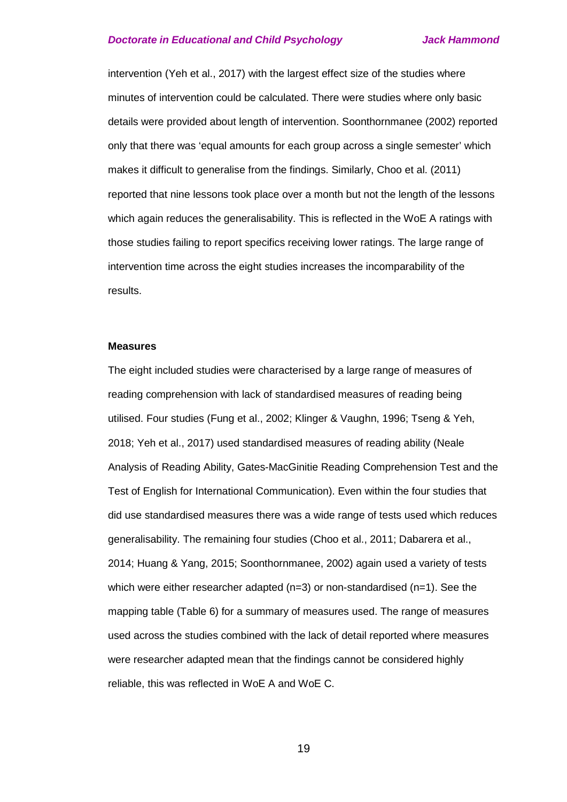intervention (Yeh et al., 2017) with the largest effect size of the studies where minutes of intervention could be calculated. There were studies where only basic details were provided about length of intervention. Soonthornmanee (2002) reported only that there was 'equal amounts for each group across a single semester' which makes it difficult to generalise from the findings. Similarly, Choo et al. (2011) reported that nine lessons took place over a month but not the length of the lessons which again reduces the generalisability. This is reflected in the WoE A ratings with those studies failing to report specifics receiving lower ratings. The large range of intervention time across the eight studies increases the incomparability of the results.

#### **Measures**

The eight included studies were characterised by a large range of measures of reading comprehension with lack of standardised measures of reading being utilised. Four studies (Fung et al., 2002; Klinger & Vaughn, 1996; Tseng & Yeh, 2018; Yeh et al., 2017) used standardised measures of reading ability (Neale Analysis of Reading Ability, Gates-MacGinitie Reading Comprehension Test and the Test of English for International Communication). Even within the four studies that did use standardised measures there was a wide range of tests used which reduces generalisability. The remaining four studies (Choo et al., 2011; Dabarera et al., 2014; Huang & Yang, 2015; Soonthornmanee, 2002) again used a variety of tests which were either researcher adapted  $(n=3)$  or non-standardised  $(n=1)$ . See the mapping table (Table 6) for a summary of measures used. The range of measures used across the studies combined with the lack of detail reported where measures were researcher adapted mean that the findings cannot be considered highly reliable, this was reflected in WoE A and WoE C.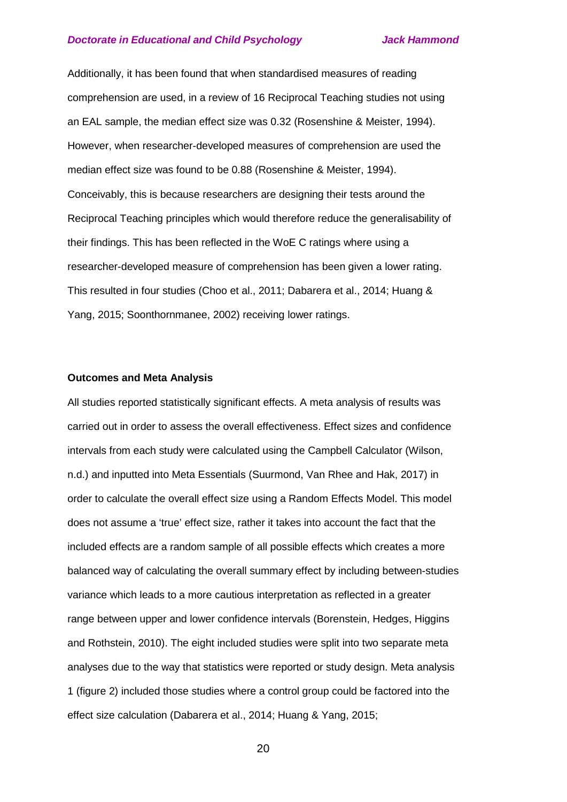Additionally, it has been found that when standardised measures of reading comprehension are used, in a review of 16 Reciprocal Teaching studies not using an EAL sample, the median effect size was 0.32 (Rosenshine & Meister, 1994). However, when researcher-developed measures of comprehension are used the median effect size was found to be 0.88 (Rosenshine & Meister, 1994). Conceivably, this is because researchers are designing their tests around the Reciprocal Teaching principles which would therefore reduce the generalisability of their findings. This has been reflected in the WoE C ratings where using a researcher-developed measure of comprehension has been given a lower rating. This resulted in four studies (Choo et al., 2011; Dabarera et al., 2014; Huang & Yang, 2015; Soonthornmanee, 2002) receiving lower ratings.

#### **Outcomes and Meta Analysis**

All studies reported statistically significant effects. A meta analysis of results was carried out in order to assess the overall effectiveness. Effect sizes and confidence intervals from each study were calculated using the Campbell Calculator (Wilson, n.d.) and inputted into Meta Essentials (Suurmond, Van Rhee and Hak, 2017) in order to calculate the overall effect size using a Random Effects Model. This model does not assume a 'true' effect size, rather it takes into account the fact that the included effects are a random sample of all possible effects which creates a more balanced way of calculating the overall summary effect by including between-studies variance which leads to a more cautious interpretation as reflected in a greater range between upper and lower confidence intervals (Borenstein, Hedges, Higgins and Rothstein, 2010). The eight included studies were split into two separate meta analyses due to the way that statistics were reported or study design. Meta analysis 1 (figure 2) included those studies where a control group could be factored into the effect size calculation (Dabarera et al., 2014; Huang & Yang, 2015;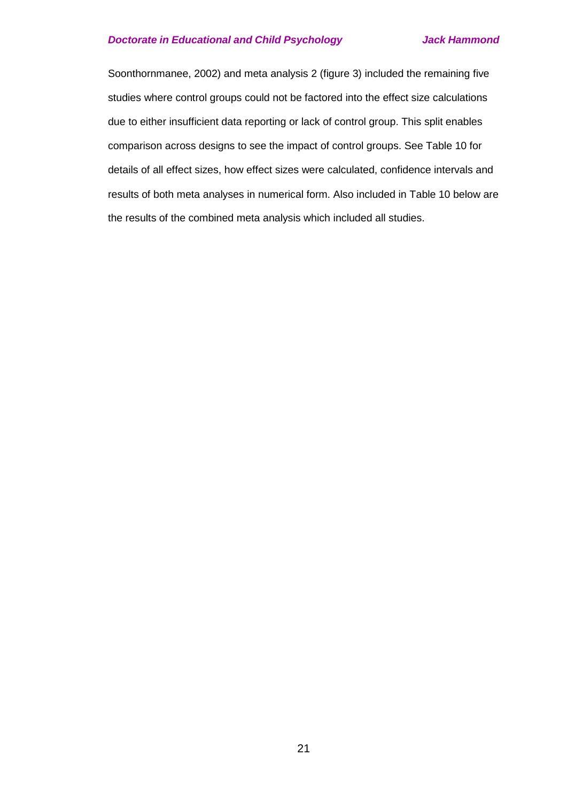Soonthornmanee, 2002) and meta analysis 2 (figure 3) included the remaining five studies where control groups could not be factored into the effect size calculations due to either insufficient data reporting or lack of control group. This split enables comparison across designs to see the impact of control groups. See Table 10 for details of all effect sizes, how effect sizes were calculated, confidence intervals and results of both meta analyses in numerical form. Also included in Table 10 below are the results of the combined meta analysis which included all studies.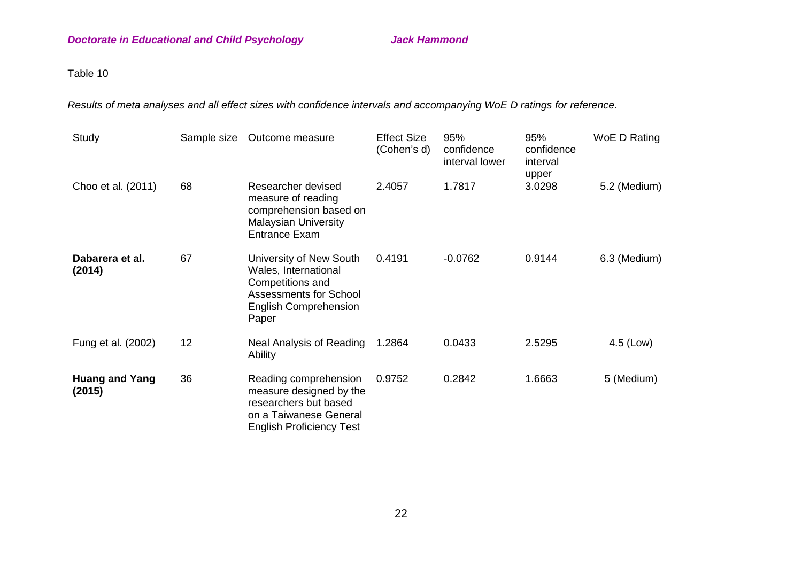# Table 10

*Results of meta analyses and all effect sizes with confidence intervals and accompanying WoE D ratings for reference.*

| Study                           | Sample size | Outcome measure                                                                                                                               | <b>Effect Size</b><br>(Cohen's d) | 95%<br>confidence<br>interval lower | 95%<br>confidence<br>interval<br>upper | WoE D Rating |
|---------------------------------|-------------|-----------------------------------------------------------------------------------------------------------------------------------------------|-----------------------------------|-------------------------------------|----------------------------------------|--------------|
| Choo et al. (2011)              | 68          | Researcher devised<br>measure of reading<br>comprehension based on<br><b>Malaysian University</b><br><b>Entrance Exam</b>                     | 2.4057                            | 1.7817                              | 3.0298                                 | 5.2 (Medium) |
| Dabarera et al.<br>(2014)       | 67          | University of New South<br>Wales, International<br>Competitions and<br><b>Assessments for School</b><br><b>English Comprehension</b><br>Paper | 0.4191                            | $-0.0762$                           | 0.9144                                 | 6.3 (Medium) |
| Fung et al. (2002)              | 12          | Neal Analysis of Reading<br>Ability                                                                                                           | 1.2864                            | 0.0433                              | 2.5295                                 | 4.5 (Low)    |
| <b>Huang and Yang</b><br>(2015) | 36          | Reading comprehension<br>measure designed by the<br>researchers but based<br>on a Taiwanese General<br><b>English Proficiency Test</b>        | 0.9752                            | 0.2842                              | 1.6663                                 | 5 (Medium)   |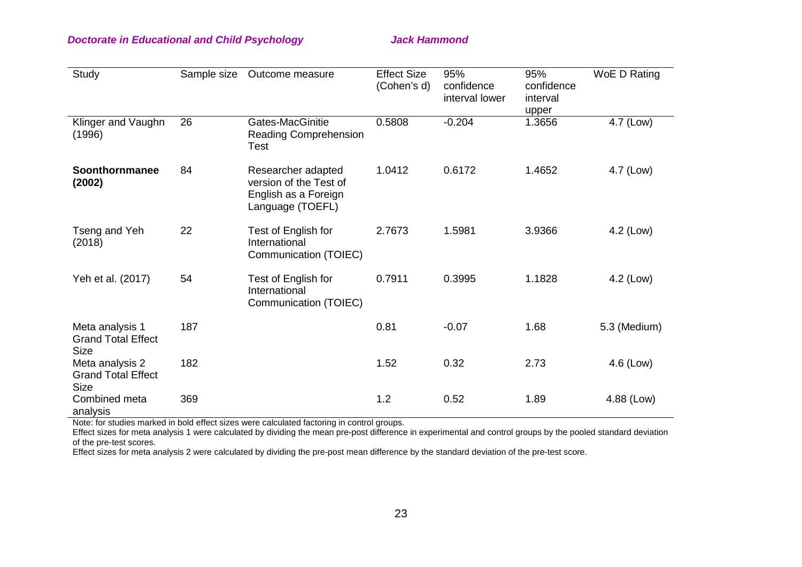## **Doctorate in Educational and Child Psychology State State Hammond Jack Hammond**

| Study                                                       | Sample size | Outcome measure                                                                          | <b>Effect Size</b><br>(Cohen's d) | 95%<br>confidence<br>interval lower | 95%<br>confidence<br>interval<br>upper | WoE D Rating |
|-------------------------------------------------------------|-------------|------------------------------------------------------------------------------------------|-----------------------------------|-------------------------------------|----------------------------------------|--------------|
| Klinger and Vaughn<br>(1996)                                | 26          | Gates-MacGinitie<br><b>Reading Comprehension</b><br>Test                                 | 0.5808                            | $-0.204$                            | 1.3656                                 | 4.7 (Low)    |
| Soonthornmanee<br>(2002)                                    | 84          | Researcher adapted<br>version of the Test of<br>English as a Foreign<br>Language (TOEFL) | 1.0412                            | 0.6172                              | 1.4652                                 | 4.7 (Low)    |
| Tseng and Yeh<br>(2018)                                     | 22          | Test of English for<br>International<br>Communication (TOIEC)                            | 2.7673                            | 1.5981                              | 3.9366                                 | 4.2 (Low)    |
| Yeh et al. (2017)                                           | 54          | Test of English for<br>International<br>Communication (TOIEC)                            | 0.7911                            | 0.3995                              | 1.1828                                 | 4.2 (Low)    |
| Meta analysis 1<br><b>Grand Total Effect</b><br><b>Size</b> | 187         |                                                                                          | 0.81                              | $-0.07$                             | 1.68                                   | 5.3 (Medium) |
| Meta analysis 2<br><b>Grand Total Effect</b><br><b>Size</b> | 182         |                                                                                          | 1.52                              | 0.32                                | 2.73                                   | 4.6 (Low)    |
| Combined meta<br>analysis                                   | 369         |                                                                                          | 1.2                               | 0.52                                | 1.89                                   | 4.88 (Low)   |

Note: for studies marked in bold effect sizes were calculated factoring in control groups.

Effect sizes for meta analysis 1 were calculated by dividing the mean pre-post difference in experimental and control groups by the pooled standard deviation of the pre-test scores.

Effect sizes for meta analysis 2 were calculated by dividing the pre-post mean difference by the standard deviation of the pre-test score.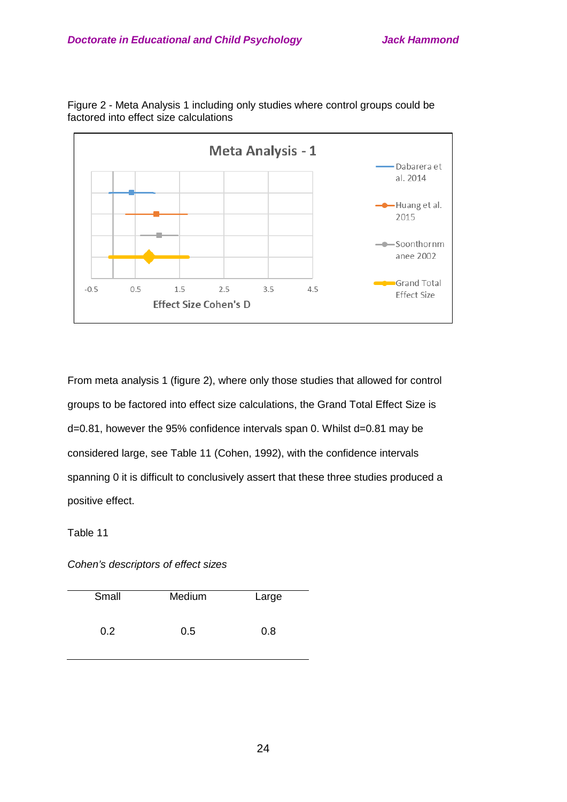

Figure 2 - Meta Analysis 1 including only studies where control groups could be factored into effect size calculations

From meta analysis 1 (figure 2), where only those studies that allowed for control groups to be factored into effect size calculations, the Grand Total Effect Size is d=0.81, however the 95% confidence intervals span 0. Whilst d=0.81 may be considered large, see Table 11 (Cohen, 1992), with the confidence intervals spanning 0 it is difficult to conclusively assert that these three studies produced a positive effect.

Table 11

*Cohen's descriptors of effect sizes*

| Small | Medium | Large |
|-------|--------|-------|
| 0.2   | 0.5    | 0.8   |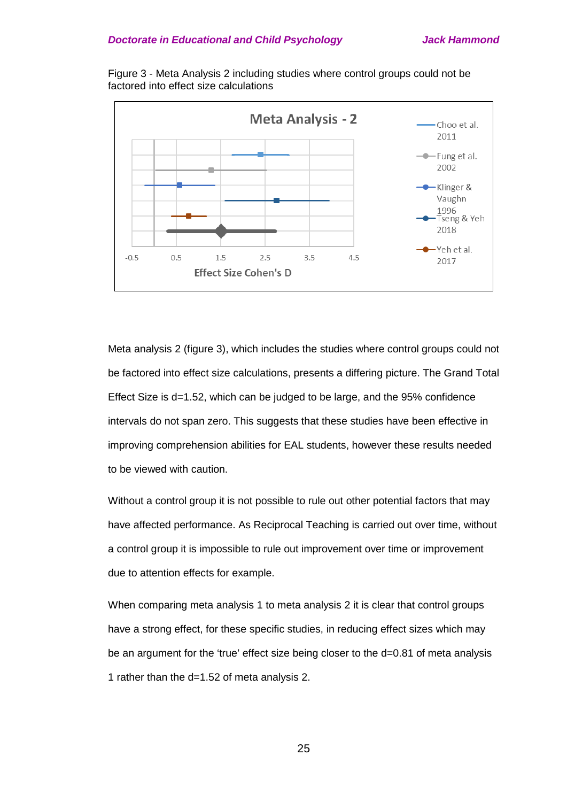Figure 3 - Meta Analysis 2 including studies where control groups could not be factored into effect size calculations



Meta analysis 2 (figure 3), which includes the studies where control groups could not be factored into effect size calculations, presents a differing picture. The Grand Total Effect Size is d=1.52, which can be judged to be large, and the 95% confidence intervals do not span zero. This suggests that these studies have been effective in improving comprehension abilities for EAL students, however these results needed to be viewed with caution.

Without a control group it is not possible to rule out other potential factors that may have affected performance. As Reciprocal Teaching is carried out over time, without a control group it is impossible to rule out improvement over time or improvement due to attention effects for example.

When comparing meta analysis 1 to meta analysis 2 it is clear that control groups have a strong effect, for these specific studies, in reducing effect sizes which may be an argument for the 'true' effect size being closer to the d=0.81 of meta analysis 1 rather than the d=1.52 of meta analysis 2.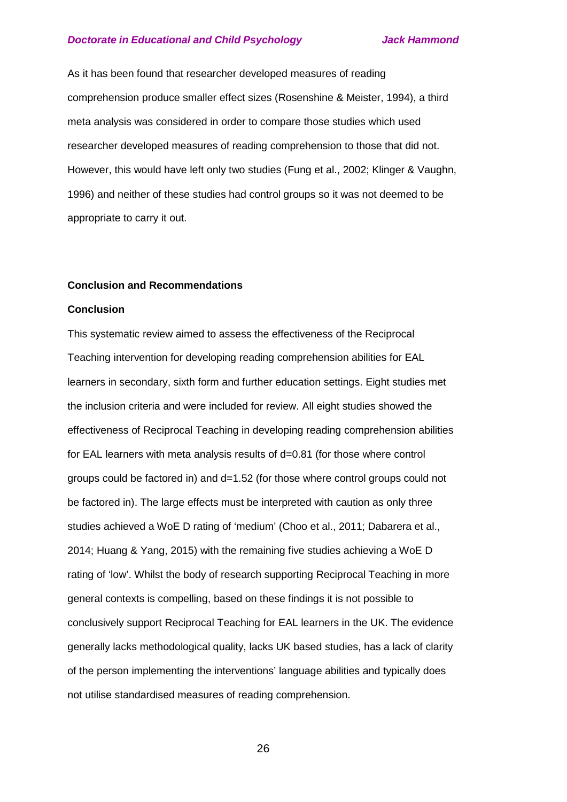As it has been found that researcher developed measures of reading comprehension produce smaller effect sizes (Rosenshine & Meister, 1994), a third meta analysis was considered in order to compare those studies which used researcher developed measures of reading comprehension to those that did not. However, this would have left only two studies (Fung et al., 2002; Klinger & Vaughn, 1996) and neither of these studies had control groups so it was not deemed to be appropriate to carry it out.

#### **Conclusion and Recommendations**

#### **Conclusion**

This systematic review aimed to assess the effectiveness of the Reciprocal Teaching intervention for developing reading comprehension abilities for EAL learners in secondary, sixth form and further education settings. Eight studies met the inclusion criteria and were included for review. All eight studies showed the effectiveness of Reciprocal Teaching in developing reading comprehension abilities for EAL learners with meta analysis results of d=0.81 (for those where control groups could be factored in) and d=1.52 (for those where control groups could not be factored in). The large effects must be interpreted with caution as only three studies achieved a WoE D rating of 'medium' (Choo et al., 2011; Dabarera et al., 2014; Huang & Yang, 2015) with the remaining five studies achieving a WoE D rating of 'low'. Whilst the body of research supporting Reciprocal Teaching in more general contexts is compelling, based on these findings it is not possible to conclusively support Reciprocal Teaching for EAL learners in the UK. The evidence generally lacks methodological quality, lacks UK based studies, has a lack of clarity of the person implementing the interventions' language abilities and typically does not utilise standardised measures of reading comprehension.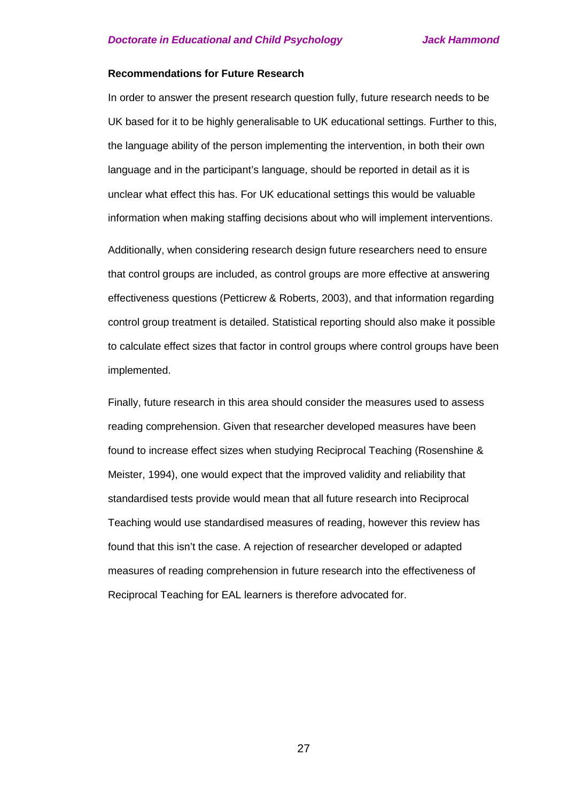#### **Recommendations for Future Research**

In order to answer the present research question fully, future research needs to be UK based for it to be highly generalisable to UK educational settings. Further to this, the language ability of the person implementing the intervention, in both their own language and in the participant's language, should be reported in detail as it is unclear what effect this has. For UK educational settings this would be valuable information when making staffing decisions about who will implement interventions.

Additionally, when considering research design future researchers need to ensure that control groups are included, as control groups are more effective at answering effectiveness questions (Petticrew & Roberts, 2003), and that information regarding control group treatment is detailed. Statistical reporting should also make it possible to calculate effect sizes that factor in control groups where control groups have been implemented.

Finally, future research in this area should consider the measures used to assess reading comprehension. Given that researcher developed measures have been found to increase effect sizes when studying Reciprocal Teaching (Rosenshine & Meister, 1994), one would expect that the improved validity and reliability that standardised tests provide would mean that all future research into Reciprocal Teaching would use standardised measures of reading, however this review has found that this isn't the case. A rejection of researcher developed or adapted measures of reading comprehension in future research into the effectiveness of Reciprocal Teaching for EAL learners is therefore advocated for.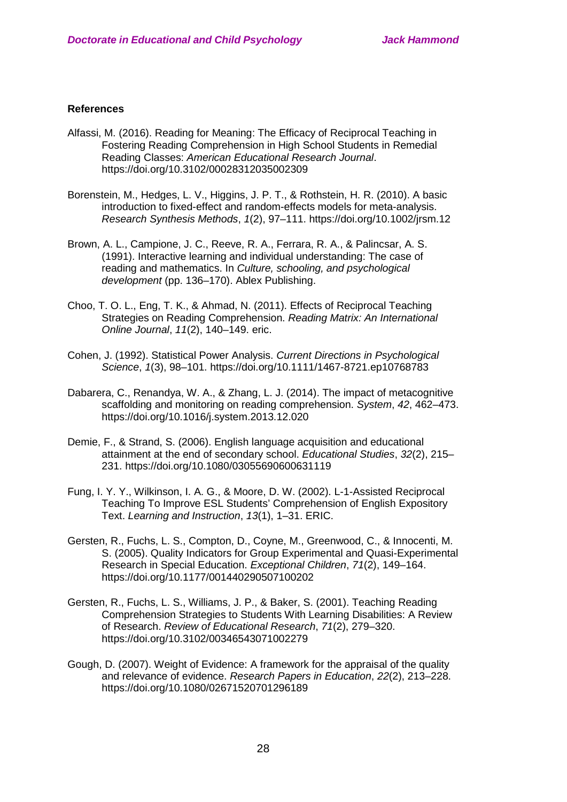## **References**

- Alfassi, M. (2016). Reading for Meaning: The Efficacy of Reciprocal Teaching in Fostering Reading Comprehension in High School Students in Remedial Reading Classes: *American Educational Research Journal*. https://doi.org/10.3102/00028312035002309
- Borenstein, M., Hedges, L. V., Higgins, J. P. T., & Rothstein, H. R. (2010). A basic introduction to fixed-effect and random-effects models for meta-analysis. *Research Synthesis Methods*, *1*(2), 97–111. https://doi.org/10.1002/jrsm.12
- Brown, A. L., Campione, J. C., Reeve, R. A., Ferrara, R. A., & Palincsar, A. S. (1991). Interactive learning and individual understanding: The case of reading and mathematics. In *Culture, schooling, and psychological development* (pp. 136–170). Ablex Publishing.
- Choo, T. O. L., Eng, T. K., & Ahmad, N. (2011). Effects of Reciprocal Teaching Strategies on Reading Comprehension. *Reading Matrix: An International Online Journal*, *11*(2), 140–149. eric.
- Cohen, J. (1992). Statistical Power Analysis. *Current Directions in Psychological Science*, *1*(3), 98–101. https://doi.org/10.1111/1467-8721.ep10768783
- Dabarera, C., Renandya, W. A., & Zhang, L. J. (2014). The impact of metacognitive scaffolding and monitoring on reading comprehension. *System*, *42*, 462–473. https://doi.org/10.1016/j.system.2013.12.020
- Demie, F., & Strand, S. (2006). English language acquisition and educational attainment at the end of secondary school. *Educational Studies*, *32*(2), 215– 231. https://doi.org/10.1080/03055690600631119
- Fung, I. Y. Y., Wilkinson, I. A. G., & Moore, D. W. (2002). L-1-Assisted Reciprocal Teaching To Improve ESL Students' Comprehension of English Expository Text. *Learning and Instruction*, *13*(1), 1–31. ERIC.
- Gersten, R., Fuchs, L. S., Compton, D., Coyne, M., Greenwood, C., & Innocenti, M. S. (2005). Quality Indicators for Group Experimental and Quasi-Experimental Research in Special Education. *Exceptional Children*, *71*(2), 149–164. https://doi.org/10.1177/001440290507100202
- Gersten, R., Fuchs, L. S., Williams, J. P., & Baker, S. (2001). Teaching Reading Comprehension Strategies to Students With Learning Disabilities: A Review of Research. *Review of Educational Research*, *71*(2), 279–320. https://doi.org/10.3102/00346543071002279
- Gough, D. (2007). Weight of Evidence: A framework for the appraisal of the quality and relevance of evidence. *Research Papers in Education*, *22*(2), 213–228. https://doi.org/10.1080/02671520701296189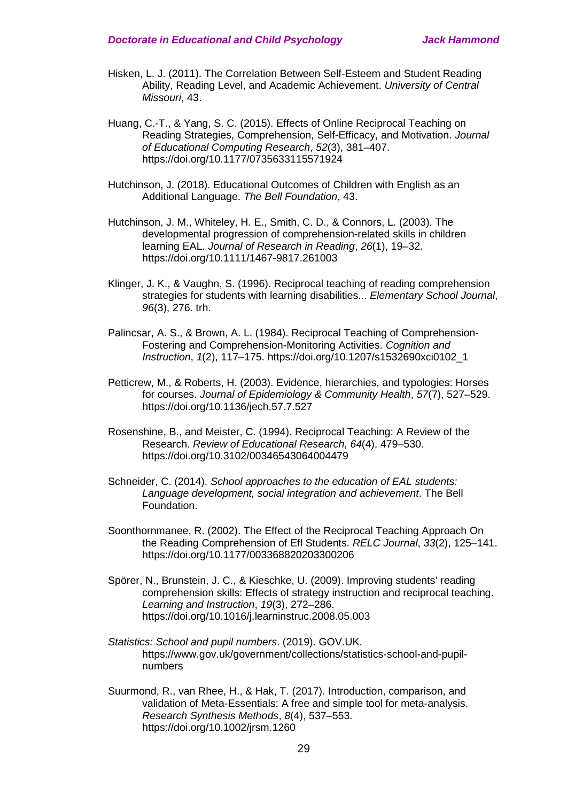- Hisken, L. J. (2011). The Correlation Between Self-Esteem and Student Reading Ability, Reading Level, and Academic Achievement. *University of Central Missouri*, 43.
- Huang, C.-T., & Yang, S. C. (2015). Effects of Online Reciprocal Teaching on Reading Strategies, Comprehension, Self-Efficacy, and Motivation. *Journal of Educational Computing Research*, *52*(3), 381–407. https://doi.org/10.1177/0735633115571924
- Hutchinson, J. (2018). Educational Outcomes of Children with English as an Additional Language. *The Bell Foundation*, 43.
- Hutchinson, J. M., Whiteley, H. E., Smith, C. D., & Connors, L. (2003). The developmental progression of comprehension-related skills in children learning EAL. *Journal of Research in Reading*, *26*(1), 19–32. https://doi.org/10.1111/1467-9817.261003
- Klinger, J. K., & Vaughn, S. (1996). Reciprocal teaching of reading comprehension strategies for students with learning disabilities... *Elementary School Journal*, *96*(3), 276. trh.
- Palincsar, A. S., & Brown, A. L. (1984). Reciprocal Teaching of Comprehension-Fostering and Comprehension-Monitoring Activities. *Cognition and Instruction*, *1*(2), 117–175. https://doi.org/10.1207/s1532690xci0102\_1
- Petticrew, M., & Roberts, H. (2003). Evidence, hierarchies, and typologies: Horses for courses. *Journal of Epidemiology & Community Health*, *57*(7), 527–529. https://doi.org/10.1136/jech.57.7.527
- Rosenshine, B., and Meister, C. (1994). Reciprocal Teaching: A Review of the Research. *Review of Educational Research*, *64*(4), 479–530. https://doi.org/10.3102/00346543064004479
- Schneider, C. (2014). *School approaches to the education of EAL students: Language development, social integration and achievement*. The Bell Foundation.
- Soonthornmanee, R. (2002). The Effect of the Reciprocal Teaching Approach On the Reading Comprehension of Efl Students. *RELC Journal*, *33*(2), 125–141. https://doi.org/10.1177/003368820203300206
- Spörer, N., Brunstein, J. C., & Kieschke, U. (2009). Improving students' reading comprehension skills: Effects of strategy instruction and reciprocal teaching. *Learning and Instruction*, *19*(3), 272–286. https://doi.org/10.1016/j.learninstruc.2008.05.003
- *Statistics: School and pupil numbers*. (2019). GOV.UK. https://www.gov.uk/government/collections/statistics-school-and-pupilnumbers
- Suurmond, R., van Rhee, H., & Hak, T. (2017). Introduction, comparison, and validation of Meta-Essentials: A free and simple tool for meta-analysis. *Research Synthesis Methods*, *8*(4), 537–553. https://doi.org/10.1002/jrsm.1260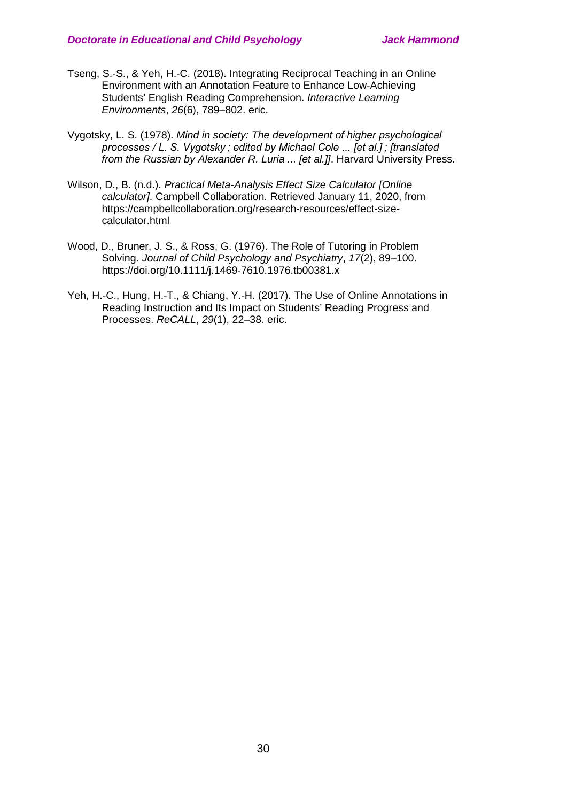- Tseng, S.-S., & Yeh, H.-C. (2018). Integrating Reciprocal Teaching in an Online Environment with an Annotation Feature to Enhance Low-Achieving Students' English Reading Comprehension. *Interactive Learning Environments*, *26*(6), 789–802. eric.
- Vygotsky, L. S. (1978). *Mind in society: The development of higher psychological processes / L. S. Vygotsky ; edited by Michael Cole ... [et al.] ; [translated from the Russian by Alexander R. Luria ... [et al.]]*. Harvard University Press.
- Wilson, D., B. (n.d.). *Practical Meta-Analysis Effect Size Calculator [Online calculator]*. Campbell Collaboration. Retrieved January 11, 2020, from https://campbellcollaboration.org/research-resources/effect-sizecalculator.html
- Wood, D., Bruner, J. S., & Ross, G. (1976). The Role of Tutoring in Problem Solving. *Journal of Child Psychology and Psychiatry*, *17*(2), 89–100. https://doi.org/10.1111/j.1469-7610.1976.tb00381.x
- Yeh, H.-C., Hung, H.-T., & Chiang, Y.-H. (2017). The Use of Online Annotations in Reading Instruction and Its Impact on Students' Reading Progress and Processes. *ReCALL*, *29*(1), 22–38. eric.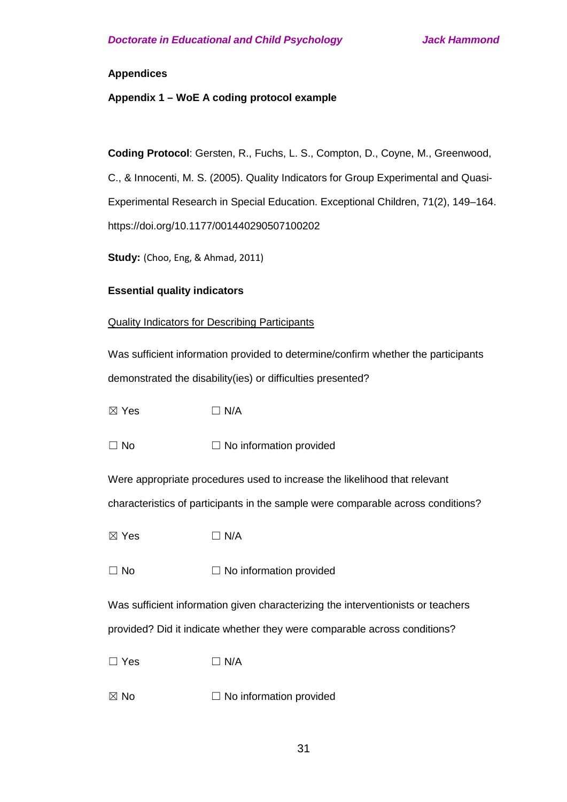## **Appendices**

## **Appendix 1 – WoE A coding protocol example**

**Coding Protocol**: Gersten, R., Fuchs, L. S., Compton, D., Coyne, M., Greenwood,

C., & Innocenti, M. S. (2005). Quality Indicators for Group Experimental and Quasi-Experimental Research in Special Education. Exceptional Children, 71(2), 149–164. https://doi.org/10.1177/001440290507100202

**Study:** (Choo, Eng, & Ahmad, 2011)

## **Essential quality indicators**

## Quality Indicators for Describing Participants

Was sufficient information provided to determine/confirm whether the participants demonstrated the disability(ies) or difficulties presented?

 $\boxtimes$  Yes  $\Box$  N/A

 $\Box$  No  $\Box$  No information provided

Were appropriate procedures used to increase the likelihood that relevant characteristics of participants in the sample were comparable across conditions?

 $\boxtimes$  Yes  $\Box$  N/A

 $\Box$  No  $\Box$  No information provided

Was sufficient information given characterizing the interventionists or teachers provided? Did it indicate whether they were comparable across conditions?

 $\square$  Yes  $\square$  N/A

 $\boxtimes$  No  $\Box$  No information provided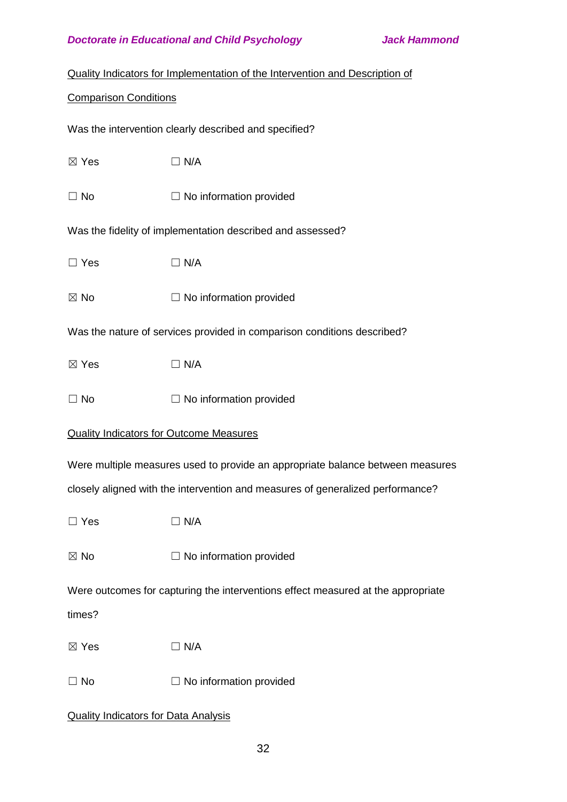|  |  |  |  | Quality Indicators for Implementation of the Intervention and Description of |
|--|--|--|--|------------------------------------------------------------------------------|
|--|--|--|--|------------------------------------------------------------------------------|

## Comparison Conditions

Was the intervention clearly described and specified?

| $\boxtimes$ Yes | $\Box$ N/A |
|-----------------|------------|
|                 |            |

 $\Box$  No  $\Box$  No information provided

Was the fidelity of implementation described and assessed?

 $\square$  Yes  $\square$  N/A

 $\boxtimes$  No  $\Box$  No information provided

Was the nature of services provided in comparison conditions described?

 $\boxtimes$  Yes  $\Box$  N/A

 $\Box$  No  $\Box$  No information provided

## Quality Indicators for Outcome Measures

Were multiple measures used to provide an appropriate balance between measures

closely aligned with the intervention and measures of generalized performance?

 $\square$  Yes  $\square$  N/A

 $\boxtimes$  No  $\Box$  No information provided

Were outcomes for capturing the interventions effect measured at the appropriate

times?

 $\boxtimes$  Yes  $\Box$  N/A

 $\Box$  No  $\Box$  No information provided

## Quality Indicators for Data Analysis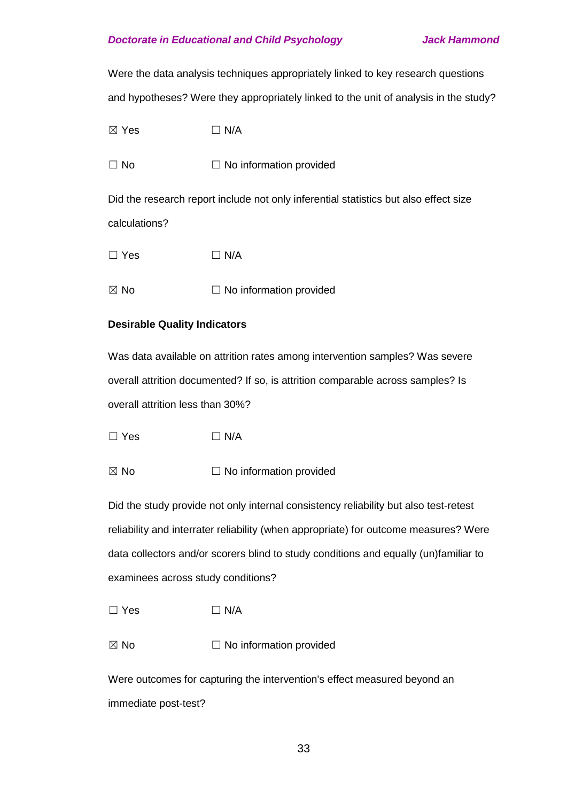Were the data analysis techniques appropriately linked to key research questions and hypotheses? Were they appropriately linked to the unit of analysis in the study?

 $\boxtimes$  Yes  $\Box$  N/A

 $\Box$  No  $\Box$  No information provided

Did the research report include not only inferential statistics but also effect size calculations?

 $\square$  Yes  $\square$  N/A

 $\boxtimes$  No  $\Box$  No information provided

## **Desirable Quality Indicators**

Was data available on attrition rates among intervention samples? Was severe overall attrition documented? If so, is attrition comparable across samples? Is overall attrition less than 30%?

 $\square$  Yes  $\square$  N/A

 $\boxtimes$  No  $\Box$  No information provided

Did the study provide not only internal consistency reliability but also test-retest reliability and interrater reliability (when appropriate) for outcome measures? Were data collectors and/or scorers blind to study conditions and equally (un)familiar to examinees across study conditions?

 $\square$  Yes  $\square$  N/A

 $\boxtimes$  No  $\Box$  No information provided

Were outcomes for capturing the intervention's effect measured beyond an immediate post-test?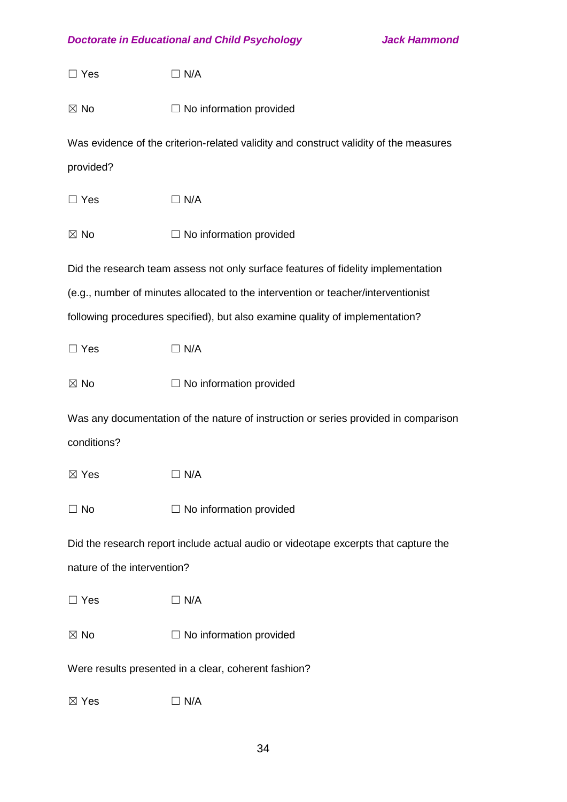| $\Box$ Yes                  | $\Box$ N/A                                                                            |
|-----------------------------|---------------------------------------------------------------------------------------|
| $\boxtimes$ No              | $\Box$ No information provided                                                        |
| provided?                   | Was evidence of the criterion-related validity and construct validity of the measures |
|                             |                                                                                       |
| $\Box$ Yes                  | $\Box$ N/A                                                                            |
| $\boxtimes$ No              | $\Box$ No information provided                                                        |
|                             | Did the research team assess not only surface features of fidelity implementation     |
|                             | (e.g., number of minutes allocated to the intervention or teacher/interventionist     |
|                             | following procedures specified), but also examine quality of implementation?          |
| $\Box$ Yes                  | $\Box$ N/A                                                                            |
| $\boxtimes$ No              | $\Box$ No information provided                                                        |
|                             | Was any documentation of the nature of instruction or series provided in comparison   |
| conditions?                 |                                                                                       |
| $\boxtimes$ Yes             | $\Box$ N/A                                                                            |
| $\Box$ No                   | $\Box$ No information provided                                                        |
|                             | Did the research report include actual audio or videotape excerpts that capture the   |
| nature of the intervention? |                                                                                       |
| $\Box$ Yes                  | $\Box$ N/A                                                                            |
| $\boxtimes$ No              | $\Box$ No information provided                                                        |
|                             | Were results presented in a clear, coherent fashion?                                  |
| $\boxtimes$ Yes             | ] N/A                                                                                 |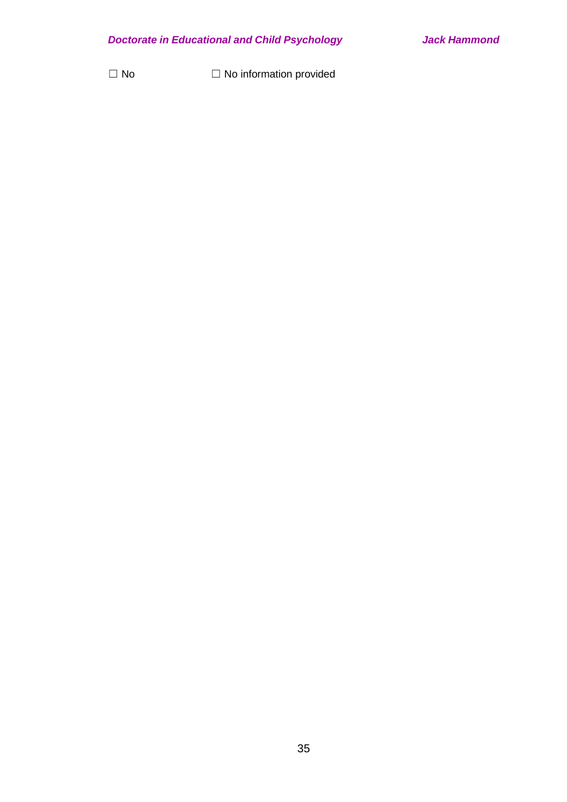☐ No ☐ No information provided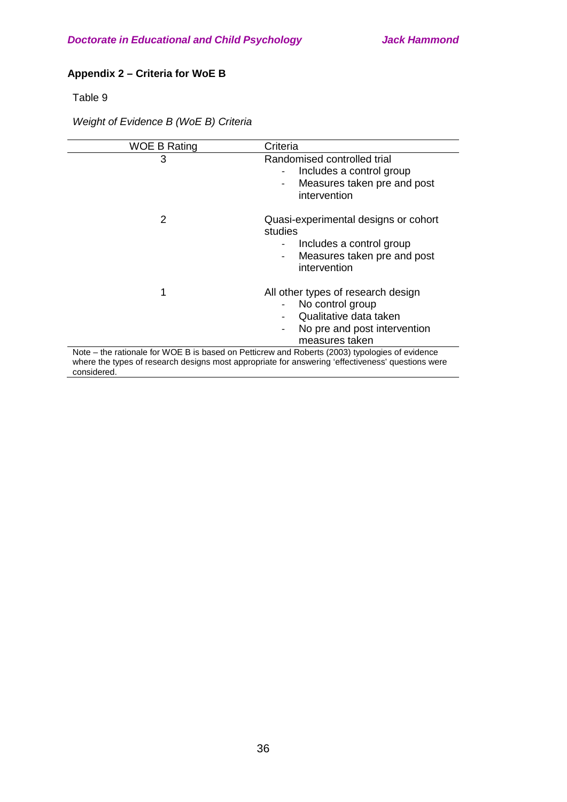# **Appendix 2 – Criteria for WoE B**

Table 9

# *Weight of Evidence B (WoE B) Criteria*

| WOE B Rating  | Criteria                                                                                                                                                                                            |
|---------------|-----------------------------------------------------------------------------------------------------------------------------------------------------------------------------------------------------|
| 3             | Randomised controlled trial<br>Includes a control group<br>Measures taken pre and post<br>$\overline{\phantom{a}}$<br>intervention                                                                  |
| $\mathcal{P}$ | Quasi-experimental designs or cohort<br>studies<br>Includes a control group<br>Measures taken pre and post<br>intervention                                                                          |
| 1             | All other types of research design<br>No control group<br>Qualitative data taken<br>No pre and post intervention<br>measures taken                                                                  |
| considered.   | Note - the rationale for WOE B is based on Petticrew and Roberts (2003) typologies of evidence<br>where the types of research designs most appropriate for answering 'effectiveness' questions were |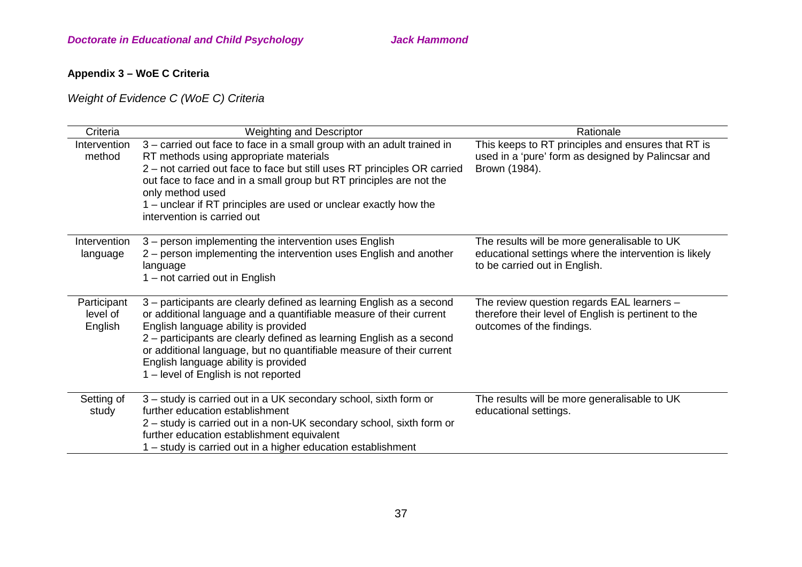# **Appendix 3 – WoE C Criteria**

*Weight of Evidence C (WoE C) Criteria*

| Criteria                           | <b>Weighting and Descriptor</b>                                                                                                                                                                                                                                                                                                                                                                                    | Rationale                                                                                                                              |
|------------------------------------|--------------------------------------------------------------------------------------------------------------------------------------------------------------------------------------------------------------------------------------------------------------------------------------------------------------------------------------------------------------------------------------------------------------------|----------------------------------------------------------------------------------------------------------------------------------------|
| Intervention<br>method             | 3 – carried out face to face in a small group with an adult trained in<br>RT methods using appropriate materials<br>2 - not carried out face to face but still uses RT principles OR carried<br>out face to face and in a small group but RT principles are not the<br>only method used<br>1 – unclear if RT principles are used or unclear exactly how the<br>intervention is carried out                         | This keeps to RT principles and ensures that RT is<br>used in a 'pure' form as designed by Palincsar and<br>Brown (1984).              |
| Intervention<br>language           | 3 - person implementing the intervention uses English<br>2 – person implementing the intervention uses English and another<br>language<br>1 – not carried out in English                                                                                                                                                                                                                                           | The results will be more generalisable to UK<br>educational settings where the intervention is likely<br>to be carried out in English. |
| Participant<br>level of<br>English | 3 – participants are clearly defined as learning English as a second<br>or additional language and a quantifiable measure of their current<br>English language ability is provided<br>2 - participants are clearly defined as learning English as a second<br>or additional language, but no quantifiable measure of their current<br>English language ability is provided<br>1 – level of English is not reported | The review question regards EAL learners -<br>therefore their level of English is pertinent to the<br>outcomes of the findings.        |
| Setting of<br>study                | 3 – study is carried out in a UK secondary school, sixth form or<br>further education establishment<br>2 – study is carried out in a non-UK secondary school, sixth form or<br>further education establishment equivalent<br>- study is carried out in a higher education establishment                                                                                                                            | The results will be more generalisable to UK<br>educational settings.                                                                  |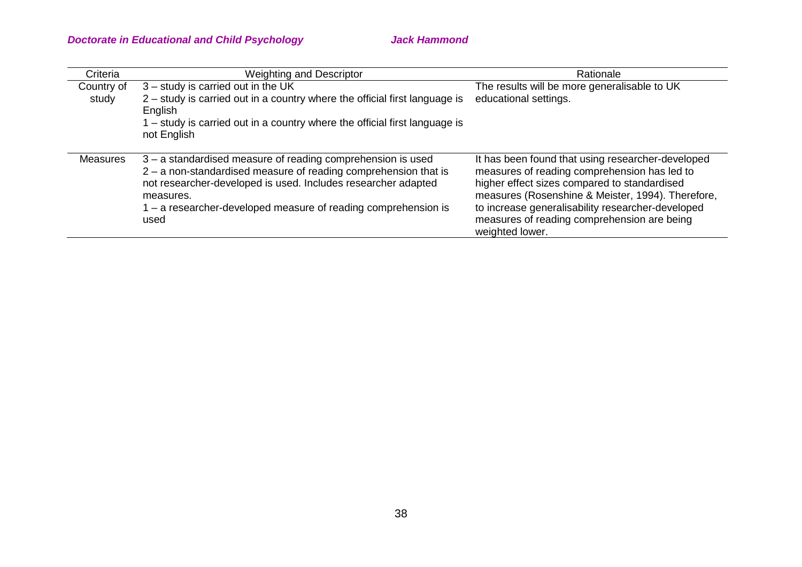| Criteria        | Weighting and Descriptor                                                   | Rationale                                         |
|-----------------|----------------------------------------------------------------------------|---------------------------------------------------|
| Country of      | 3 - study is carried out in the UK                                         | The results will be more generalisable to UK      |
| study           | 2 - study is carried out in a country where the official first language is | educational settings.                             |
|                 | English                                                                    |                                                   |
|                 | - study is carried out in a country where the official first language is   |                                                   |
|                 | not English                                                                |                                                   |
|                 |                                                                            |                                                   |
| <b>Measures</b> | 3 – a standardised measure of reading comprehension is used                | It has been found that using researcher-developed |
|                 | 2 - a non-standardised measure of reading comprehension that is            | measures of reading comprehension has led to      |
|                 | not researcher-developed is used. Includes researcher adapted              | higher effect sizes compared to standardised      |
|                 | measures.                                                                  | measures (Rosenshine & Meister, 1994). Therefore, |
|                 | - a researcher-developed measure of reading comprehension is               | to increase generalisability researcher-developed |
|                 | used                                                                       | measures of reading comprehension are being       |
|                 |                                                                            | weighted lower.                                   |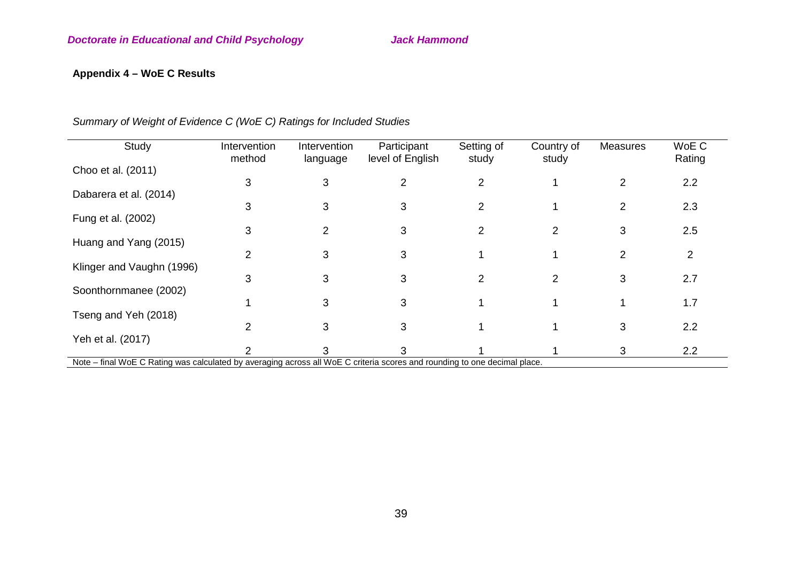# **Appendix 4 – WoE C Results**

| Study                                                                                                                     | Intervention<br>method | Intervention<br>language | Participant<br>level of English | Setting of<br>study | Country of<br>study | <b>Measures</b> | WoE C<br>Rating |
|---------------------------------------------------------------------------------------------------------------------------|------------------------|--------------------------|---------------------------------|---------------------|---------------------|-----------------|-----------------|
| Choo et al. (2011)                                                                                                        | 3                      | 3                        | 2                               | 2                   |                     | $\overline{2}$  | 2.2             |
| Dabarera et al. (2014)                                                                                                    |                        |                          |                                 |                     |                     |                 |                 |
| Fung et al. (2002)                                                                                                        | 3                      | 3                        | 3                               | $\overline{2}$      |                     | 2               | 2.3             |
|                                                                                                                           | 3                      | $\overline{2}$           | 3                               | 2                   | $\overline{2}$      | 3               | 2.5             |
| Huang and Yang (2015)                                                                                                     | $\overline{2}$         | 3                        | 3                               |                     |                     | $\overline{2}$  | $\overline{2}$  |
| Klinger and Vaughn (1996)                                                                                                 |                        |                          |                                 |                     |                     |                 |                 |
| Soonthornmanee (2002)                                                                                                     | 3                      | 3                        | 3                               | 2                   | $\overline{2}$      | 3               | 2.7             |
|                                                                                                                           |                        | 3                        | 3                               |                     |                     |                 | 1.7             |
| Tseng and Yeh (2018)                                                                                                      | 2                      | 3                        | 3                               |                     |                     | 3               | 2.2             |
| Yeh et al. (2017)                                                                                                         |                        |                          |                                 |                     |                     |                 |                 |
| Note – final WoE C Rating was calculated by averaging across all WoE C criteria scores and rounding to one decimal place. | っ                      | 3                        | 3                               |                     |                     | 3               | 2.2             |

*Summary of Weight of Evidence C (WoE C) Ratings for Included Studies*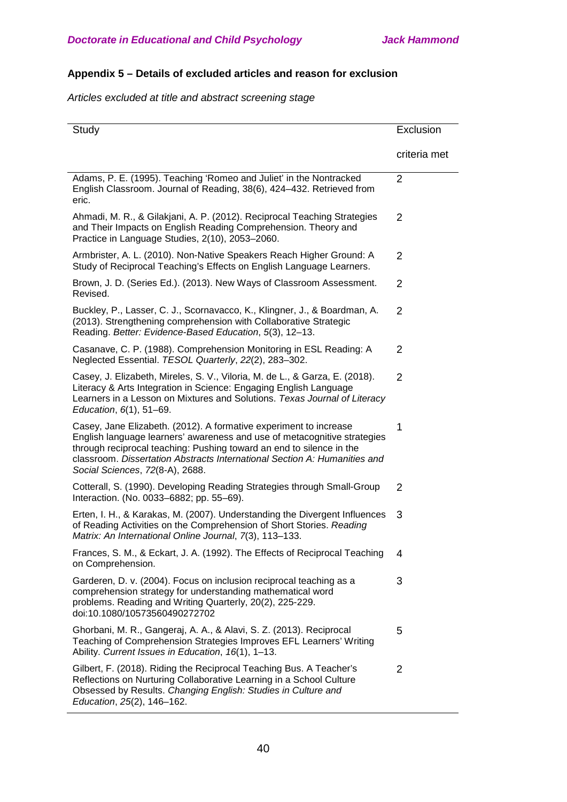# **Appendix 5 – Details of excluded articles and reason for exclusion**

*Articles excluded at title and abstract screening stage*

| Study                                                                                                                                                                                                                                                                                                                                 | Exclusion      |
|---------------------------------------------------------------------------------------------------------------------------------------------------------------------------------------------------------------------------------------------------------------------------------------------------------------------------------------|----------------|
|                                                                                                                                                                                                                                                                                                                                       | criteria met   |
| Adams, P. E. (1995). Teaching 'Romeo and Juliet' in the Nontracked<br>English Classroom. Journal of Reading, 38(6), 424-432. Retrieved from<br>eric.                                                                                                                                                                                  | $\overline{2}$ |
| Ahmadi, M. R., & Gilakjani, A. P. (2012). Reciprocal Teaching Strategies<br>and Their Impacts on English Reading Comprehension. Theory and<br>Practice in Language Studies, 2(10), 2053-2060.                                                                                                                                         | $\overline{2}$ |
| Armbrister, A. L. (2010). Non-Native Speakers Reach Higher Ground: A<br>Study of Reciprocal Teaching's Effects on English Language Learners.                                                                                                                                                                                          | $\overline{2}$ |
| Brown, J. D. (Series Ed.). (2013). New Ways of Classroom Assessment.<br>Revised.                                                                                                                                                                                                                                                      | $\overline{2}$ |
| Buckley, P., Lasser, C. J., Scornavacco, K., Klingner, J., & Boardman, A.<br>(2013). Strengthening comprehension with Collaborative Strategic<br>Reading. Better: Evidence-Based Education, 5(3), 12-13.                                                                                                                              | $\overline{2}$ |
| Casanave, C. P. (1988). Comprehension Monitoring in ESL Reading: A<br>Neglected Essential. TESOL Quarterly, 22(2), 283-302.                                                                                                                                                                                                           | $\overline{2}$ |
| Casey, J. Elizabeth, Mireles, S. V., Viloria, M. de L., & Garza, E. (2018).<br>Literacy & Arts Integration in Science: Engaging English Language<br>Learners in a Lesson on Mixtures and Solutions. Texas Journal of Literacy<br>Education, 6(1), 51-69.                                                                              | $\overline{2}$ |
| Casey, Jane Elizabeth. (2012). A formative experiment to increase<br>English language learners' awareness and use of metacognitive strategies<br>through reciprocal teaching: Pushing toward an end to silence in the<br>classroom. Dissertation Abstracts International Section A: Humanities and<br>Social Sciences, 72(8-A), 2688. | 1              |
| Cotterall, S. (1990). Developing Reading Strategies through Small-Group<br>Interaction. (No. 0033-6882; pp. 55-69).                                                                                                                                                                                                                   | $\overline{2}$ |
| Erten, I. H., & Karakas, M. (2007). Understanding the Divergent Influences<br>of Reading Activities on the Comprehension of Short Stories. Reading<br>Matrix: An International Online Journal, 7(3), 113-133.                                                                                                                         | 3              |
| Frances, S. M., & Eckart, J. A. (1992). The Effects of Reciprocal Teaching<br>on Comprehension.                                                                                                                                                                                                                                       | 4              |
| Garderen, D. v. (2004). Focus on inclusion reciprocal teaching as a<br>comprehension strategy for understanding mathematical word<br>problems. Reading and Writing Quarterly, 20(2), 225-229.<br>doi:10.1080/10573560490272702                                                                                                        | 3              |
| Ghorbani, M. R., Gangeraj, A. A., & Alavi, S. Z. (2013). Reciprocal<br>Teaching of Comprehension Strategies Improves EFL Learners' Writing<br>Ability. Current Issues in Education, 16(1), 1-13.                                                                                                                                      | 5              |
| Gilbert, F. (2018). Riding the Reciprocal Teaching Bus. A Teacher's<br>Reflections on Nurturing Collaborative Learning in a School Culture<br>Obsessed by Results. Changing English: Studies in Culture and<br>Education, 25(2), 146-162.                                                                                             | $\overline{2}$ |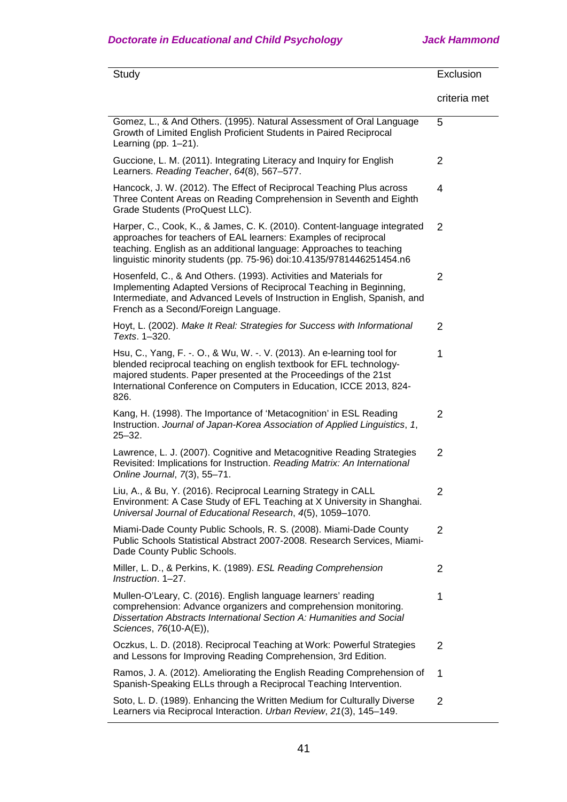| Study                                                                                                                                                                                                                                                                                            | Exclusion      |
|--------------------------------------------------------------------------------------------------------------------------------------------------------------------------------------------------------------------------------------------------------------------------------------------------|----------------|
|                                                                                                                                                                                                                                                                                                  | criteria met   |
| Gomez, L., & And Others. (1995). Natural Assessment of Oral Language<br>Growth of Limited English Proficient Students in Paired Reciprocal<br>Learning (pp. $1-21$ ).                                                                                                                            | 5              |
| Guccione, L. M. (2011). Integrating Literacy and Inquiry for English<br>Learners. Reading Teacher, 64(8), 567-577.                                                                                                                                                                               | $\overline{2}$ |
| Hancock, J. W. (2012). The Effect of Reciprocal Teaching Plus across<br>Three Content Areas on Reading Comprehension in Seventh and Eighth<br>Grade Students (ProQuest LLC).                                                                                                                     | 4              |
| Harper, C., Cook, K., & James, C. K. (2010). Content-language integrated<br>approaches for teachers of EAL learners: Examples of reciprocal<br>teaching. English as an additional language: Approaches to teaching<br>linguistic minority students (pp. 75-96) doi:10.4135/9781446251454.n6      | 2              |
| Hosenfeld, C., & And Others. (1993). Activities and Materials for<br>Implementing Adapted Versions of Reciprocal Teaching in Beginning,<br>Intermediate, and Advanced Levels of Instruction in English, Spanish, and<br>French as a Second/Foreign Language.                                     | $\overline{2}$ |
| Hoyt, L. (2002). Make It Real: Strategies for Success with Informational<br>Texts. 1-320.                                                                                                                                                                                                        | $\overline{2}$ |
| Hsu, C., Yang, F. -. O., & Wu, W. -. V. (2013). An e-learning tool for<br>blended reciprocal teaching on english textbook for EFL technology-<br>majored students. Paper presented at the Proceedings of the 21st<br>International Conference on Computers in Education, ICCE 2013, 824-<br>826. | 1              |
| Kang, H. (1998). The Importance of 'Metacognition' in ESL Reading<br>Instruction. Journal of Japan-Korea Association of Applied Linguistics, 1,<br>$25 - 32.$                                                                                                                                    | $\overline{2}$ |
| Lawrence, L. J. (2007). Cognitive and Metacognitive Reading Strategies<br>Revisited: Implications for Instruction. Reading Matrix: An International<br>Online Journal, 7(3), 55-71.                                                                                                              | $\overline{2}$ |
| Liu, A., & Bu, Y. (2016). Reciprocal Learning Strategy in CALL<br>Environment: A Case Study of EFL Teaching at X University in Shanghai.<br>Universal Journal of Educational Research, 4(5), 1059-1070.                                                                                          | 2              |
| Miami-Dade County Public Schools, R. S. (2008). Miami-Dade County<br>Public Schools Statistical Abstract 2007-2008. Research Services, Miami-<br>Dade County Public Schools.                                                                                                                     | $\overline{2}$ |
| Miller, L. D., & Perkins, K. (1989). ESL Reading Comprehension<br>Instruction, 1-27.                                                                                                                                                                                                             | $\overline{2}$ |
| Mullen-O'Leary, C. (2016). English language learners' reading<br>comprehension: Advance organizers and comprehension monitoring.<br>Dissertation Abstracts International Section A: Humanities and Social<br>Sciences, 76(10-A(E)),                                                              | 1              |
| Oczkus, L. D. (2018). Reciprocal Teaching at Work: Powerful Strategies<br>and Lessons for Improving Reading Comprehension, 3rd Edition.                                                                                                                                                          | $\overline{2}$ |
| Ramos, J. A. (2012). Ameliorating the English Reading Comprehension of<br>Spanish-Speaking ELLs through a Reciprocal Teaching Intervention.                                                                                                                                                      | 1              |
| Soto, L. D. (1989). Enhancing the Written Medium for Culturally Diverse<br>Learners via Reciprocal Interaction. Urban Review, 21(3), 145-149.                                                                                                                                                    | $\overline{2}$ |